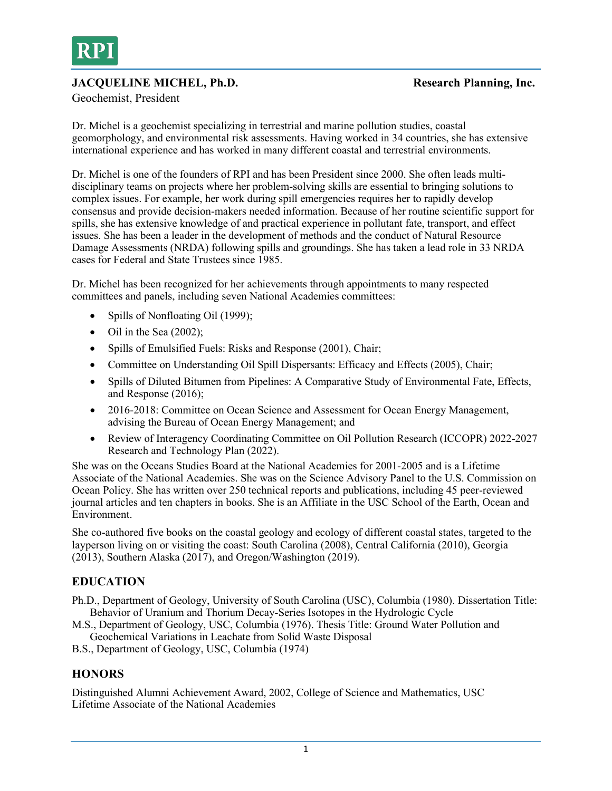

# **JACQUELINE MICHEL, Ph.D. Research Planning, Inc.**

Geochemist, President

Dr. Michel is a geochemist specializing in terrestrial and marine pollution studies, coastal geomorphology, and environmental risk assessments. Having worked in 34 countries, she has extensive international experience and has worked in many different coastal and terrestrial environments.

Dr. Michel is one of the founders of RPI and has been President since 2000. She often leads multidisciplinary teams on projects where her problem-solving skills are essential to bringing solutions to complex issues. For example, her work during spill emergencies requires her to rapidly develop consensus and provide decision-makers needed information. Because of her routine scientific support for spills, she has extensive knowledge of and practical experience in pollutant fate, transport, and effect issues. She has been a leader in the development of methods and the conduct of Natural Resource Damage Assessments (NRDA) following spills and groundings. She has taken a lead role in 33 NRDA cases for Federal and State Trustees since 1985.

Dr. Michel has been recognized for her achievements through appointments to many respected committees and panels, including seven National Academies committees:

- Spills of Nonfloating Oil (1999);
- Oil in the Sea  $(2002)$ ;
- Spills of Emulsified Fuels: Risks and Response (2001), Chair;
- Committee on Understanding Oil Spill Dispersants: Efficacy and Effects (2005), Chair;
- Spills of Diluted Bitumen from Pipelines: A Comparative Study of Environmental Fate, Effects, and Response (2016);
- 2016-2018: Committee on Ocean Science and Assessment for Ocean Energy Management, advising the Bureau of Ocean Energy Management; and
- Review of Interagency Coordinating Committee on Oil Pollution Research (ICCOPR) 2022-2027 Research and Technology Plan (2022).

She was on the Oceans Studies Board at the National Academies for 2001-2005 and is a Lifetime Associate of the National Academies. She was on the Science Advisory Panel to the U.S. Commission on Ocean Policy. She has written over 250 technical reports and publications, including 45 peer-reviewed journal articles and ten chapters in books. She is an Affiliate in the USC School of the Earth, Ocean and Environment.

She co-authored five books on the coastal geology and ecology of different coastal states, targeted to the layperson living on or visiting the coast: South Carolina (2008), Central California (2010), Georgia (2013), Southern Alaska (2017), and Oregon/Washington (2019).

# **EDUCATION**

- Ph.D., Department of Geology, University of South Carolina (USC), Columbia (1980). Dissertation Title: Behavior of Uranium and Thorium Decay-Series Isotopes in the Hydrologic Cycle
- M.S., Department of Geology, USC, Columbia (1976). Thesis Title: Ground Water Pollution and Geochemical Variations in Leachate from Solid Waste Disposal
- B.S., Department of Geology, USC, Columbia (1974)

## **HONORS**

Distinguished Alumni Achievement Award, 2002, College of Science and Mathematics, USC Lifetime Associate of the National Academies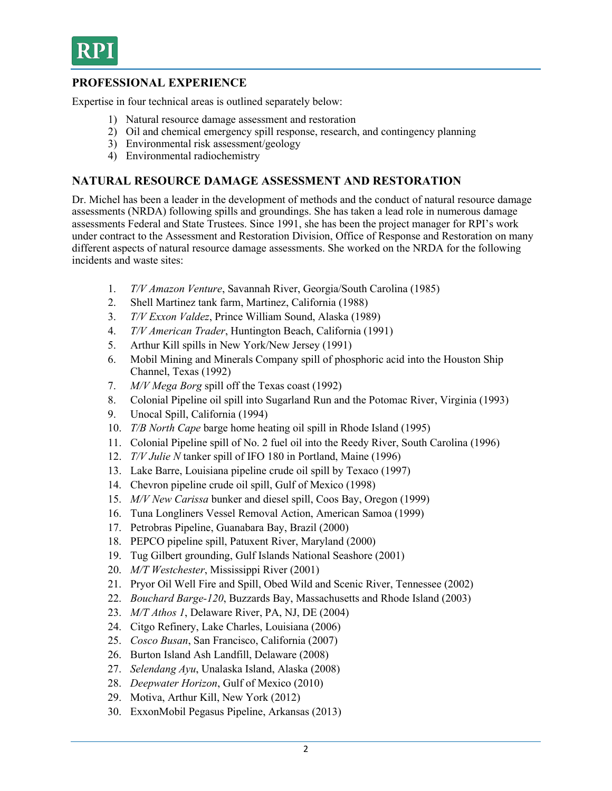

# **PROFESSIONAL EXPERIENCE**

Expertise in four technical areas is outlined separately below:

- 1) Natural resource damage assessment and restoration
- 2) Oil and chemical emergency spill response, research, and contingency planning
- 3) Environmental risk assessment/geology
- 4) Environmental radiochemistry

## **NATURAL RESOURCE DAMAGE ASSESSMENT AND RESTORATION**

Dr. Michel has been a leader in the development of methods and the conduct of natural resource damage assessments (NRDA) following spills and groundings. She has taken a lead role in numerous damage assessments Federal and State Trustees. Since 1991, she has been the project manager for RPI's work under contract to the Assessment and Restoration Division, Office of Response and Restoration on many different aspects of natural resource damage assessments. She worked on the NRDA for the following incidents and waste sites:

- 1. *T/V Amazon Venture*, Savannah River, Georgia/South Carolina (1985)
- 2. Shell Martinez tank farm, Martinez, California (1988)
- 3. *T/V Exxon Valdez*, Prince William Sound, Alaska (1989)
- 4. *T/V American Trader*, Huntington Beach, California (1991)
- 5. Arthur Kill spills in New York/New Jersey (1991)
- 6. Mobil Mining and Minerals Company spill of phosphoric acid into the Houston Ship Channel, Texas (1992)
- 7. *M/V Mega Borg* spill off the Texas coast (1992)
- 8. Colonial Pipeline oil spill into Sugarland Run and the Potomac River, Virginia (1993)
- 9. Unocal Spill, California (1994)
- 10. *T/B North Cape* barge home heating oil spill in Rhode Island (1995)
- 11. Colonial Pipeline spill of No. 2 fuel oil into the Reedy River, South Carolina (1996)
- 12. *T/V Julie N* tanker spill of IFO 180 in Portland, Maine (1996)
- 13. Lake Barre, Louisiana pipeline crude oil spill by Texaco (1997)
- 14. Chevron pipeline crude oil spill, Gulf of Mexico (1998)
- 15. *M/V New Carissa* bunker and diesel spill, Coos Bay, Oregon (1999)
- 16. Tuna Longliners Vessel Removal Action, American Samoa (1999)
- 17. Petrobras Pipeline, Guanabara Bay, Brazil (2000)
- 18. PEPCO pipeline spill, Patuxent River, Maryland (2000)
- 19. Tug Gilbert grounding, Gulf Islands National Seashore (2001)
- 20. *M/T Westchester*, Mississippi River (2001)
- 21. Pryor Oil Well Fire and Spill, Obed Wild and Scenic River, Tennessee (2002)
- 22. *Bouchard Barge-120*, Buzzards Bay, Massachusetts and Rhode Island (2003)
- 23. *M/T Athos 1*, Delaware River, PA, NJ, DE (2004)
- 24. Citgo Refinery, Lake Charles, Louisiana (2006)
- 25. *Cosco Busan*, San Francisco, California (2007)
- 26. Burton Island Ash Landfill, Delaware (2008)
- 27. *Selendang Ayu*, Unalaska Island, Alaska (2008)
- 28. *Deepwater Horizon*, Gulf of Mexico (2010)
- 29. Motiva, Arthur Kill, New York (2012)
- 30. ExxonMobil Pegasus Pipeline, Arkansas (2013)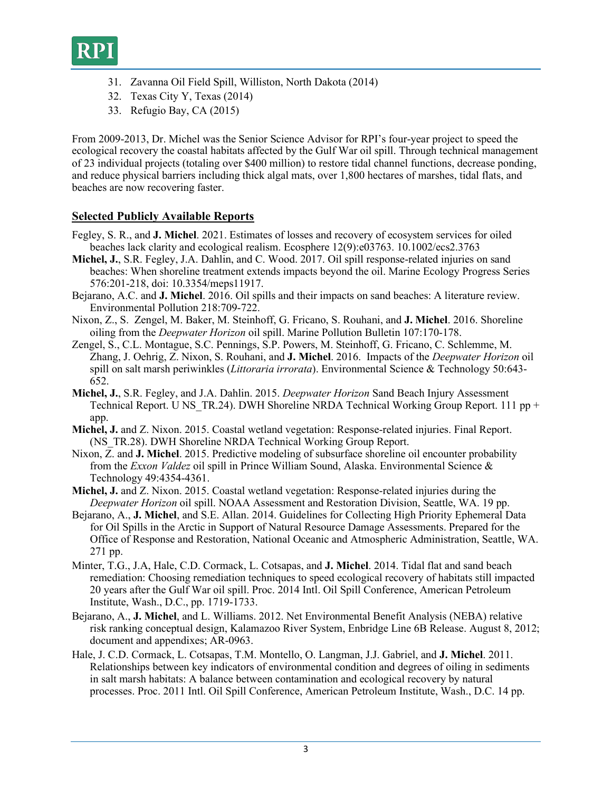

- 31. Zavanna Oil Field Spill, Williston, North Dakota (2014)
- 32. Texas City Y, Texas (2014)
- 33. Refugio Bay, CA (2015)

From 2009-2013, Dr. Michel was the Senior Science Advisor for RPI's four-year project to speed the ecological recovery the coastal habitats affected by the Gulf War oil spill. Through technical management of 23 individual projects (totaling over \$400 million) to restore tidal channel functions, decrease ponding, and reduce physical barriers including thick algal mats, over 1,800 hectares of marshes, tidal flats, and beaches are now recovering faster.

## **Selected Publicly Available Reports**

- Fegley, S. R., and **J. Michel**. 2021. Estimates of losses and recovery of ecosystem services for oiled beaches lack clarity and ecological realism. Ecosphere 12(9):e03763. 10.1002/ecs2.3763
- **Michel, J.**, S.R. Fegley, J.A. Dahlin, and C. Wood. 2017. Oil spill response-related injuries on sand beaches: When shoreline treatment extends impacts beyond the oil. Marine Ecology Progress Series 576:201-218, doi: 10.3354/meps11917.
- Bejarano, A.C. and **J. Michel**. 2016. Oil spills and their impacts on sand beaches: A literature review. Environmental Pollution 218:709-722.
- Nixon, Z., S. Zengel, M. Baker, M. Steinhoff, G. Fricano, S. Rouhani, and **J. Michel**. 2016. Shoreline oiling from the *Deepwater Horizon* oil spill. Marine Pollution Bulletin 107:170-178.
- Zengel, S., C.L. Montague, S.C. Pennings, S.P. Powers, M. Steinhoff, G. Fricano, C. Schlemme, M. Zhang, J. Oehrig, Z. Nixon, S. Rouhani, and **J. Michel**. 2016. Impacts of the *Deepwater Horizon* oil spill on salt marsh periwinkles (*Littoraria irrorata*). Environmental Science & Technology 50:643- 652.
- **Michel, J.**, S.R. Fegley, and J.A. Dahlin. 2015. *Deepwater Horizon* Sand Beach Injury Assessment Technical Report. U NS TR.24). DWH Shoreline NRDA Technical Working Group Report. 111 pp + app.
- **Michel, J.** and Z. Nixon. 2015. Coastal wetland vegetation: Response-related injuries. Final Report. (NS TR.28). DWH Shoreline NRDA Technical Working Group Report.
- Nixon, Z. and **J. Michel**. 2015. Predictive modeling of subsurface shoreline oil encounter probability from the *Exxon Valdez* oil spill in Prince William Sound, Alaska. Environmental Science & Technology 49:4354-4361.
- **Michel, J.** and Z. Nixon. 2015. Coastal wetland vegetation: Response-related injuries during the *Deepwater Horizon* oil spill. NOAA Assessment and Restoration Division, Seattle, WA. 19 pp.
- Bejarano, A., **J. Michel**, and S.E. Allan. 2014. Guidelines for Collecting High Priority Ephemeral Data for Oil Spills in the Arctic in Support of Natural Resource Damage Assessments. Prepared for the Office of Response and Restoration, National Oceanic and Atmospheric Administration, Seattle, WA. 271 pp.
- Minter, T.G., J.A, Hale, C.D. Cormack, L. Cotsapas, and **J. Michel**. 2014. Tidal flat and sand beach remediation: Choosing remediation techniques to speed ecological recovery of habitats still impacted 20 years after the Gulf War oil spill. Proc. 2014 Intl. Oil Spill Conference, American Petroleum Institute, Wash., D.C., pp. 1719-1733.
- Bejarano, A., **J. Michel**, and L. Williams. 2012. Net Environmental Benefit Analysis (NEBA) relative risk ranking conceptual design, Kalamazoo River System, Enbridge Line 6B Release. August 8, 2012; document and appendixes; AR-0963.
- Hale, J. C.D. Cormack, L. Cotsapas, T.M. Montello, O. Langman, J.J. Gabriel, and **J. Michel**. 2011. Relationships between key indicators of environmental condition and degrees of oiling in sediments in salt marsh habitats: A balance between contamination and ecological recovery by natural processes. Proc. 2011 Intl. Oil Spill Conference, American Petroleum Institute, Wash., D.C. 14 pp.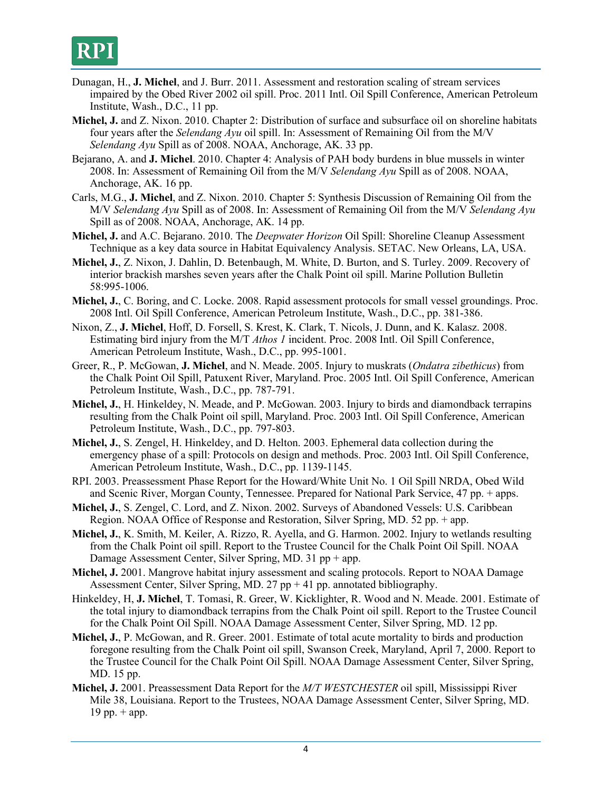- Dunagan, H., **J. Michel**, and J. Burr. 2011. Assessment and restoration scaling of stream services impaired by the Obed River 2002 oil spill. Proc. 2011 Intl. Oil Spill Conference, American Petroleum Institute, Wash., D.C., 11 pp.
- **Michel, J.** and Z. Nixon. 2010. Chapter 2: Distribution of surface and subsurface oil on shoreline habitats four years after the *Selendang Ayu* oil spill. In: Assessment of Remaining Oil from the M/V *Selendang Ayu* Spill as of 2008. NOAA, Anchorage, AK. 33 pp.
- Bejarano, A. and **J. Michel**. 2010. Chapter 4: Analysis of PAH body burdens in blue mussels in winter 2008. In: Assessment of Remaining Oil from the M/V *Selendang Ayu* Spill as of 2008. NOAA, Anchorage, AK. 16 pp.
- Carls, M.G., **J. Michel**, and Z. Nixon. 2010. Chapter 5: Synthesis Discussion of Remaining Oil from the M/V *Selendang Ayu* Spill as of 2008. In: Assessment of Remaining Oil from the M/V *Selendang Ayu*  Spill as of 2008. NOAA, Anchorage, AK. 14 pp.
- **Michel, J.** and A.C. Bejarano. 2010. The *Deepwater Horizon* Oil Spill: Shoreline Cleanup Assessment Technique as a key data source in Habitat Equivalency Analysis. SETAC. New Orleans, LA, USA.
- **Michel, J.**, Z. Nixon, J. Dahlin, D. Betenbaugh, M. White, D. Burton, and S. Turley. 2009. Recovery of interior brackish marshes seven years after the Chalk Point oil spill. Marine Pollution Bulletin 58:995-1006.
- **Michel, J.**, C. Boring, and C. Locke. 2008. Rapid assessment protocols for small vessel groundings. Proc. 2008 Intl. Oil Spill Conference, American Petroleum Institute, Wash., D.C., pp. 381-386.
- Nixon, Z., **J. Michel**, Hoff, D. Forsell, S. Krest, K. Clark, T. Nicols, J. Dunn, and K. Kalasz. 2008. Estimating bird injury from the M/T *Athos 1* incident. Proc. 2008 Intl. Oil Spill Conference, American Petroleum Institute, Wash., D.C., pp. 995-1001.
- Greer, R., P. McGowan, **J. Michel**, and N. Meade. 2005. Injury to muskrats (*Ondatra zibethicus*) from the Chalk Point Oil Spill, Patuxent River, Maryland. Proc. 2005 Intl. Oil Spill Conference, American Petroleum Institute, Wash., D.C., pp. 787-791.
- **Michel, J.**, H. Hinkeldey, N. Meade, and P. McGowan. 2003. Injury to birds and diamondback terrapins resulting from the Chalk Point oil spill, Maryland. Proc. 2003 Intl. Oil Spill Conference, American Petroleum Institute, Wash., D.C., pp. 797-803.
- **Michel, J.**, S. Zengel, H. Hinkeldey, and D. Helton. 2003. Ephemeral data collection during the emergency phase of a spill: Protocols on design and methods. Proc. 2003 Intl. Oil Spill Conference, American Petroleum Institute, Wash., D.C., pp. 1139-1145.
- RPI. 2003. Preassessment Phase Report for the Howard/White Unit No. 1 Oil Spill NRDA, Obed Wild and Scenic River, Morgan County, Tennessee. Prepared for National Park Service, 47 pp. + apps.
- **Michel, J.**, S. Zengel, C. Lord, and Z. Nixon. 2002. Surveys of Abandoned Vessels: U.S. Caribbean Region. NOAA Office of Response and Restoration, Silver Spring, MD. 52 pp. + app.
- **Michel, J.**, K. Smith, M. Keiler, A. Rizzo, R. Ayella, and G. Harmon. 2002. Injury to wetlands resulting from the Chalk Point oil spill. Report to the Trustee Council for the Chalk Point Oil Spill. NOAA Damage Assessment Center, Silver Spring, MD. 31 pp + app.
- **Michel, J.** 2001. Mangrove habitat injury assessment and scaling protocols. Report to NOAA Damage Assessment Center, Silver Spring, MD. 27 pp  $+41$  pp. annotated bibliography.
- Hinkeldey, H, **J. Michel**, T. Tomasi, R. Greer, W. Kicklighter, R. Wood and N. Meade. 2001. Estimate of the total injury to diamondback terrapins from the Chalk Point oil spill. Report to the Trustee Council for the Chalk Point Oil Spill. NOAA Damage Assessment Center, Silver Spring, MD. 12 pp.
- **Michel, J.**, P. McGowan, and R. Greer. 2001. Estimate of total acute mortality to birds and production foregone resulting from the Chalk Point oil spill, Swanson Creek, Maryland, April 7, 2000. Report to the Trustee Council for the Chalk Point Oil Spill. NOAA Damage Assessment Center, Silver Spring, MD. 15 pp.
- **Michel, J.** 2001. Preassessment Data Report for the *M/T WESTCHESTER* oil spill, Mississippi River Mile 38, Louisiana. Report to the Trustees, NOAA Damage Assessment Center, Silver Spring, MD. 19 pp.  $+$  app.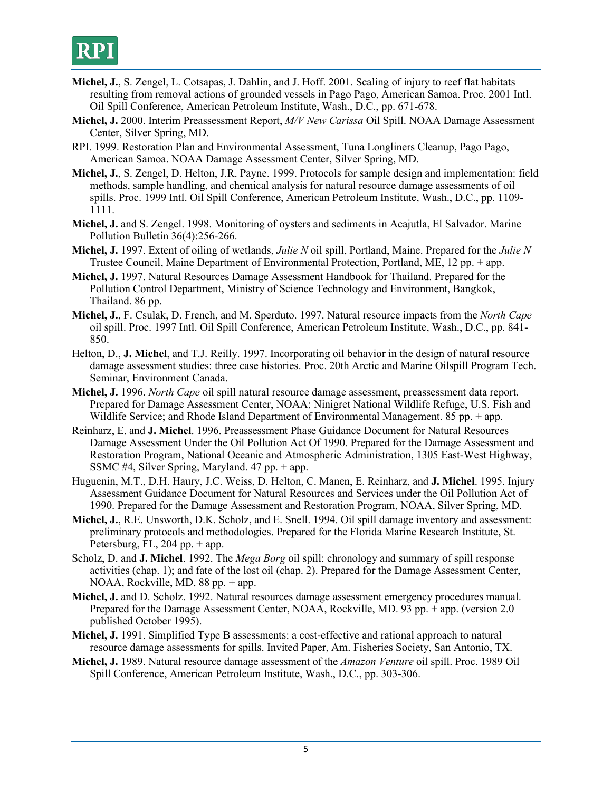- **Michel, J.**, S. Zengel, L. Cotsapas, J. Dahlin, and J. Hoff. 2001. Scaling of injury to reef flat habitats resulting from removal actions of grounded vessels in Pago Pago, American Samoa. Proc. 2001 Intl. Oil Spill Conference, American Petroleum Institute, Wash., D.C., pp. 671-678.
- **Michel, J.** 2000. Interim Preassessment Report, *M/V New Carissa* Oil Spill. NOAA Damage Assessment Center, Silver Spring, MD.
- RPI. 1999. Restoration Plan and Environmental Assessment, Tuna Longliners Cleanup, Pago Pago, American Samoa. NOAA Damage Assessment Center, Silver Spring, MD.
- **Michel, J.**, S. Zengel, D. Helton, J.R. Payne. 1999. Protocols for sample design and implementation: field methods, sample handling, and chemical analysis for natural resource damage assessments of oil spills. Proc. 1999 Intl. Oil Spill Conference, American Petroleum Institute, Wash., D.C., pp. 1109- 1111.
- **Michel, J.** and S. Zengel. 1998. Monitoring of oysters and sediments in Acajutla, El Salvador. Marine Pollution Bulletin 36(4):256-266.
- **Michel, J.** 1997. Extent of oiling of wetlands, *Julie N* oil spill, Portland, Maine. Prepared for the *Julie N* Trustee Council, Maine Department of Environmental Protection, Portland, ME, 12 pp. + app.
- **Michel, J.** 1997. Natural Resources Damage Assessment Handbook for Thailand. Prepared for the Pollution Control Department, Ministry of Science Technology and Environment, Bangkok, Thailand. 86 pp.
- **Michel, J.**, F. Csulak, D. French, and M. Sperduto. 1997. Natural resource impacts from the *North Cape* oil spill. Proc. 1997 Intl. Oil Spill Conference, American Petroleum Institute, Wash., D.C., pp. 841- 850.
- Helton, D., **J. Michel**, and T.J. Reilly. 1997. Incorporating oil behavior in the design of natural resource damage assessment studies: three case histories. Proc. 20th Arctic and Marine Oilspill Program Tech. Seminar, Environment Canada.
- **Michel, J.** 1996. *North Cape* oil spill natural resource damage assessment, preassessment data report. Prepared for Damage Assessment Center, NOAA; Ninigret National Wildlife Refuge, U.S. Fish and Wildlife Service; and Rhode Island Department of Environmental Management. 85 pp. + app.
- Reinharz, E. and **J. Michel**. 1996. Preassessment Phase Guidance Document for Natural Resources Damage Assessment Under the Oil Pollution Act Of 1990. Prepared for the Damage Assessment and Restoration Program, National Oceanic and Atmospheric Administration, 1305 East-West Highway, SSMC #4, Silver Spring, Maryland. 47 pp. + app.
- Huguenin, M.T., D.H. Haury, J.C. Weiss, D. Helton, C. Manen, E. Reinharz, and **J. Michel**. 1995. Injury Assessment Guidance Document for Natural Resources and Services under the Oil Pollution Act of 1990. Prepared for the Damage Assessment and Restoration Program, NOAA, Silver Spring, MD.
- **Michel, J.**, R.E. Unsworth, D.K. Scholz, and E. Snell. 1994. Oil spill damage inventory and assessment: preliminary protocols and methodologies. Prepared for the Florida Marine Research Institute, St. Petersburg, FL,  $204$  pp. + app.
- Scholz, D. and **J. Michel**. 1992. The *Mega Borg* oil spill: chronology and summary of spill response activities (chap. 1); and fate of the lost oil (chap. 2). Prepared for the Damage Assessment Center, NOAA, Rockville, MD, 88 pp. + app.
- **Michel, J.** and D. Scholz. 1992. Natural resources damage assessment emergency procedures manual. Prepared for the Damage Assessment Center, NOAA, Rockville, MD. 93 pp. + app. (version 2.0 published October 1995).
- **Michel, J.** 1991. Simplified Type B assessments: a cost-effective and rational approach to natural resource damage assessments for spills. Invited Paper, Am. Fisheries Society, San Antonio, TX.
- **Michel, J.** 1989. Natural resource damage assessment of the *Amazon Venture* oil spill. Proc. 1989 Oil Spill Conference, American Petroleum Institute, Wash., D.C., pp. 303-306.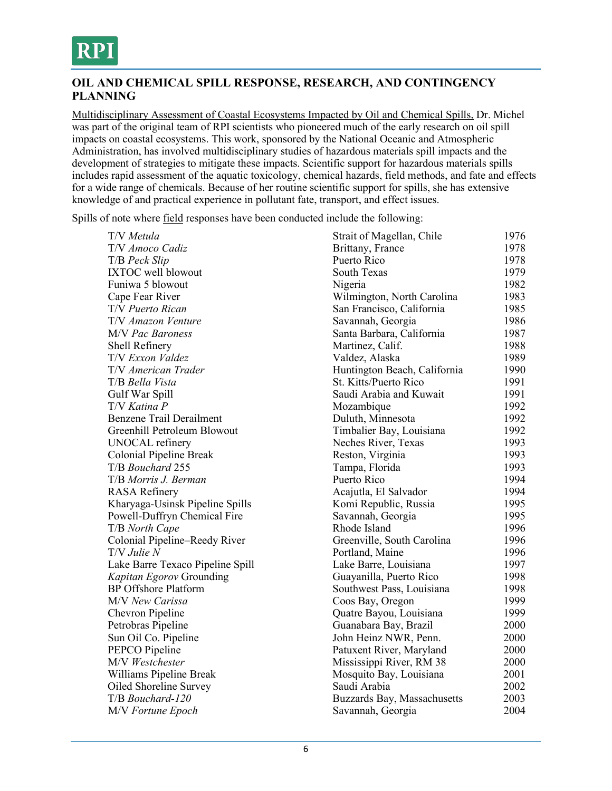

## **OIL AND CHEMICAL SPILL RESPONSE, RESEARCH, AND CONTINGENCY PLANNING**

Multidisciplinary Assessment of Coastal Ecosystems Impacted by Oil and Chemical Spills, Dr. Michel was part of the original team of RPI scientists who pioneered much of the early research on oil spill impacts on coastal ecosystems. This work, sponsored by the National Oceanic and Atmospheric Administration, has involved multidisciplinary studies of hazardous materials spill impacts and the development of strategies to mitigate these impacts. Scientific support for hazardous materials spills includes rapid assessment of the aquatic toxicology, chemical hazards, field methods, and fate and effects for a wide range of chemicals. Because of her routine scientific support for spills, she has extensive knowledge of and practical experience in pollutant fate, transport, and effect issues.

Spills of note where field responses have been conducted include the following:

| T/V Metula                       | Strait of Magellan, Chile    | 1976 |
|----------------------------------|------------------------------|------|
| T/V Amoco Cadiz                  | Brittany, France             | 1978 |
| T/B Peck Slip                    | Puerto Rico                  | 1978 |
| <b>IXTOC</b> well blowout        | South Texas                  | 1979 |
| Funiwa 5 blowout                 | Nigeria                      | 1982 |
| Cape Fear River                  | Wilmington, North Carolina   | 1983 |
| T/V Puerto Rican                 | San Francisco, California    | 1985 |
| T/V Amazon Venture               | Savannah, Georgia            | 1986 |
| M/V Pac Baroness                 | Santa Barbara, California    | 1987 |
| Shell Refinery                   | Martinez, Calif.             | 1988 |
| T/V Exxon Valdez                 | Valdez, Alaska               | 1989 |
| T/V American Trader              | Huntington Beach, California | 1990 |
| T/B Bella Vista                  | St. Kitts/Puerto Rico        | 1991 |
| Gulf War Spill                   | Saudi Arabia and Kuwait      | 1991 |
| T/V Katina P                     | Mozambique                   | 1992 |
| <b>Benzene Trail Derailment</b>  | Duluth, Minnesota            | 1992 |
| Greenhill Petroleum Blowout      | Timbalier Bay, Louisiana     | 1992 |
| UNOCAL refinery                  | Neches River, Texas          | 1993 |
| Colonial Pipeline Break          | Reston, Virginia             | 1993 |
| T/B Bouchard 255                 | Tampa, Florida               | 1993 |
| T/B Morris J. Berman             | Puerto Rico                  | 1994 |
| <b>RASA</b> Refinery             | Acajutla, El Salvador        | 1994 |
| Kharyaga-Usinsk Pipeline Spills  | Komi Republic, Russia        | 1995 |
| Powell-Duffryn Chemical Fire     | Savannah, Georgia            | 1995 |
| T/B North Cape                   | Rhode Island                 | 1996 |
| Colonial Pipeline-Reedy River    | Greenville, South Carolina   | 1996 |
| $T/V$ Julie $N$                  | Portland, Maine              | 1996 |
| Lake Barre Texaco Pipeline Spill | Lake Barre, Louisiana        | 1997 |
| Kapitan Egorov Grounding         | Guayanilla, Puerto Rico      | 1998 |
| <b>BP</b> Offshore Platform      | Southwest Pass, Louisiana    | 1998 |
| M/V New Carissa                  | Coos Bay, Oregon             | 1999 |
| Chevron Pipeline                 | Quatre Bayou, Louisiana      | 1999 |
| Petrobras Pipeline               | Guanabara Bay, Brazil        | 2000 |
| Sun Oil Co. Pipeline             | John Heinz NWR, Penn.        | 2000 |
| PEPCO Pipeline                   | Patuxent River, Maryland     | 2000 |
| M/V Westchester                  | Mississippi River, RM 38     | 2000 |
| Williams Pipeline Break          | Mosquito Bay, Louisiana      | 2001 |
| Oiled Shoreline Survey           | Saudi Arabia                 | 2002 |
| T/B Bouchard-120                 | Buzzards Bay, Massachusetts  | 2003 |
| <b>M/V</b> Fortune Epoch         | Savannah, Georgia            | 2004 |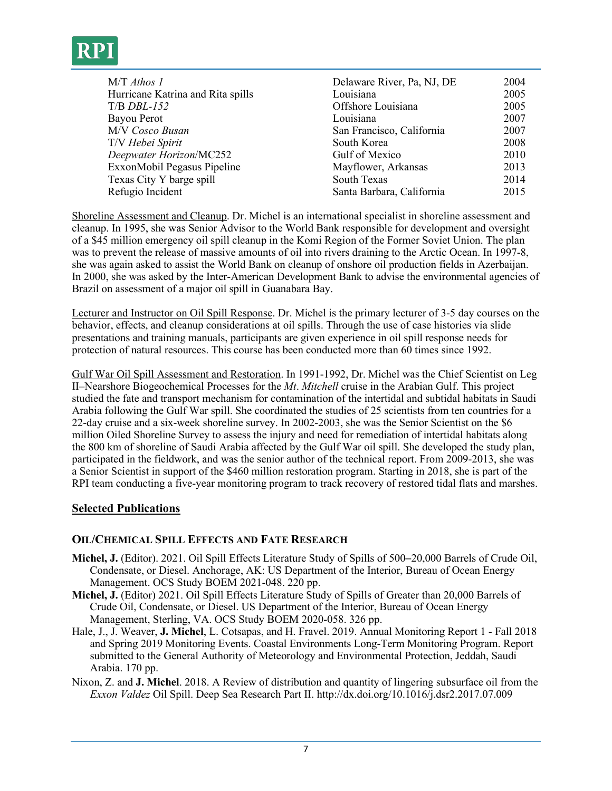

| $M/T$ Athos 1<br>Hurricane Katrina and Rita spills<br>$T/B$ DBL-152<br>Bayou Perot<br>M/V Cosco Busan<br>T/V Hebei Spirit<br>Deepwater Horizon/MC252 | Delaware River, Pa, NJ, DE<br>Louisiana<br>Offshore Louisiana<br>Louisiana<br>San Francisco, California<br>South Korea<br>Gulf of Mexico | 2004<br>2005<br>2005<br>2007<br>2007<br>2008<br>2010 |
|------------------------------------------------------------------------------------------------------------------------------------------------------|------------------------------------------------------------------------------------------------------------------------------------------|------------------------------------------------------|
|                                                                                                                                                      |                                                                                                                                          |                                                      |
|                                                                                                                                                      |                                                                                                                                          |                                                      |
|                                                                                                                                                      |                                                                                                                                          |                                                      |
|                                                                                                                                                      |                                                                                                                                          |                                                      |
| ExxonMobil Pegasus Pipeline                                                                                                                          | Mayflower, Arkansas                                                                                                                      | 2013                                                 |
| Texas City Y barge spill                                                                                                                             | South Texas                                                                                                                              | 2014                                                 |
| Refugio Incident                                                                                                                                     | Santa Barbara, California                                                                                                                | 2015                                                 |
|                                                                                                                                                      |                                                                                                                                          |                                                      |

Shoreline Assessment and Cleanup. Dr. Michel is an international specialist in shoreline assessment and cleanup. In 1995, she was Senior Advisor to the World Bank responsible for development and oversight of a \$45 million emergency oil spill cleanup in the Komi Region of the Former Soviet Union. The plan was to prevent the release of massive amounts of oil into rivers draining to the Arctic Ocean. In 1997-8, she was again asked to assist the World Bank on cleanup of onshore oil production fields in Azerbaijan. In 2000, she was asked by the Inter-American Development Bank to advise the environmental agencies of Brazil on assessment of a major oil spill in Guanabara Bay.

Lecturer and Instructor on Oil Spill Response. Dr. Michel is the primary lecturer of 3-5 day courses on the behavior, effects, and cleanup considerations at oil spills. Through the use of case histories via slide presentations and training manuals, participants are given experience in oil spill response needs for protection of natural resources. This course has been conducted more than 60 times since 1992.

Gulf War Oil Spill Assessment and Restoration. In 1991-1992, Dr. Michel was the Chief Scientist on Leg II–Nearshore Biogeochemical Processes for the *Mt*. *Mitchell* cruise in the Arabian Gulf. This project studied the fate and transport mechanism for contamination of the intertidal and subtidal habitats in Saudi Arabia following the Gulf War spill. She coordinated the studies of 25 scientists from ten countries for a 22-day cruise and a six-week shoreline survey. In 2002-2003, she was the Senior Scientist on the \$6 million Oiled Shoreline Survey to assess the injury and need for remediation of intertidal habitats along the 800 km of shoreline of Saudi Arabia affected by the Gulf War oil spill. She developed the study plan, participated in the fieldwork, and was the senior author of the technical report. From 2009-2013, she was a Senior Scientist in support of the \$460 million restoration program. Starting in 2018, she is part of the RPI team conducting a five-year monitoring program to track recovery of restored tidal flats and marshes.

### **Selected Publications**

### **OIL/CHEMICAL SPILL EFFECTS AND FATE RESEARCH**

- **Michel, J.** (Editor). 2021. Oil Spill Effects Literature Study of Spills of 500–20,000 Barrels of Crude Oil, Condensate, or Diesel. Anchorage, AK: US Department of the Interior, Bureau of Ocean Energy Management. OCS Study BOEM 2021-048. 220 pp.
- **Michel, J.** (Editor) 2021. Oil Spill Effects Literature Study of Spills of Greater than 20,000 Barrels of Crude Oil, Condensate, or Diesel. US Department of the Interior, Bureau of Ocean Energy Management, Sterling, VA. OCS Study BOEM 2020-058. 326 pp.
- Hale, J., J. Weaver, **J. Michel**, L. Cotsapas, and H. Fravel. 2019. Annual Monitoring Report 1 ‐ Fall 2018 and Spring 2019 Monitoring Events. Coastal Environments Long‐Term Monitoring Program. Report submitted to the General Authority of Meteorology and Environmental Protection, Jeddah, Saudi Arabia. 170 pp.
- Nixon, Z. and **J. Michel**. 2018. A Review of distribution and quantity of lingering subsurface oil from the *Exxon Valdez* Oil Spill. Deep Sea Research Part II. http://dx.doi.org/10.1016/j.dsr2.2017.07.009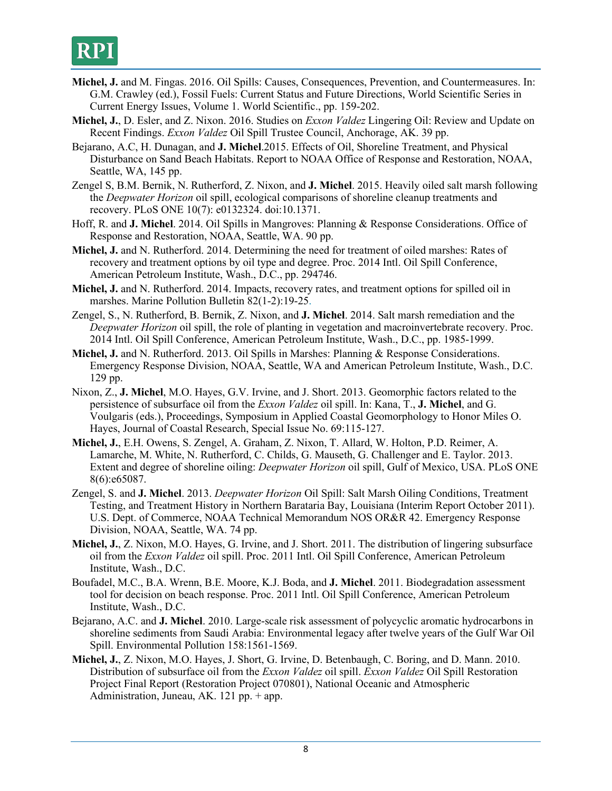- **Michel, J.** and M. Fingas. 2016. Oil Spills: Causes, Consequences, Prevention, and Countermeasures. In: G.M. Crawley (ed.), Fossil Fuels: Current Status and Future Directions, World Scientific Series in Current Energy Issues, Volume 1. World Scientific., pp. 159-202.
- **Michel, J.**, D. Esler, and Z. Nixon. 2016. Studies on *Exxon Valdez* Lingering Oil: Review and Update on Recent Findings. *Exxon Valdez* Oil Spill Trustee Council, Anchorage, AK. 39 pp.
- Bejarano, A.C, H. Dunagan, and **J. Michel**.2015. Effects of Oil, Shoreline Treatment, and Physical Disturbance on Sand Beach Habitats. Report to NOAA Office of Response and Restoration, NOAA, Seattle, WA, 145 pp.
- Zengel S, B.M. Bernik, N. Rutherford, Z. Nixon, and **J. Michel**. 2015. Heavily oiled salt marsh following the *Deepwater Horizon* oil spill, ecological comparisons of shoreline cleanup treatments and recovery. PLoS ONE 10(7): e0132324. doi:10.1371.
- Hoff, R. and **J. Michel**. 2014. Oil Spills in Mangroves: Planning & Response Considerations. Office of Response and Restoration, NOAA, Seattle, WA. 90 pp.
- **Michel, J.** and N. Rutherford. 2014. Determining the need for treatment of oiled marshes: Rates of recovery and treatment options by oil type and degree. Proc. 2014 Intl. Oil Spill Conference, American Petroleum Institute, Wash., D.C., pp. 294746.
- **Michel, J.** and N. Rutherford. 2014. Impacts, recovery rates, and treatment options for spilled oil in marshes. Marine Pollution Bulletin 82(1-2):19-25.
- Zengel, S., N. Rutherford, B. Bernik, Z. Nixon, and **J. Michel**. 2014. Salt marsh remediation and the *Deepwater Horizon* oil spill, the role of planting in vegetation and macroinvertebrate recovery. Proc. 2014 Intl. Oil Spill Conference, American Petroleum Institute, Wash., D.C., pp. 1985-1999.
- **Michel, J.** and N. Rutherford. 2013. Oil Spills in Marshes: Planning & Response Considerations. Emergency Response Division, NOAA, Seattle, WA and American Petroleum Institute, Wash., D.C. 129 pp.
- Nixon, Z., **J. Michel**, M.O. Hayes, G.V. Irvine, and J. Short. 2013. Geomorphic factors related to the persistence of subsurface oil from the *Exxon Valdez* oil spill. In: Kana, T., **J. Michel**, and G. Voulgaris (eds.), Proceedings, Symposium in Applied Coastal Geomorphology to Honor Miles O. Hayes, Journal of Coastal Research, Special Issue No. 69:115-127.
- **Michel, J.**, E.H. Owens, S. Zengel, A. Graham, Z. Nixon, T. Allard, W. Holton, P.D. Reimer, A. Lamarche, M. White, N. Rutherford, C. Childs, G. Mauseth, G. Challenger and E. Taylor. 2013. Extent and degree of shoreline oiling: *Deepwater Horizon* oil spill, Gulf of Mexico, USA. PLoS ONE 8(6):e65087.
- Zengel, S. and **J. Michel**. 2013. *Deepwater Horizon* Oil Spill: Salt Marsh Oiling Conditions, Treatment Testing, and Treatment History in Northern Barataria Bay, Louisiana (Interim Report October 2011). U.S. Dept. of Commerce, NOAA Technical Memorandum NOS OR&R 42. Emergency Response Division, NOAA, Seattle, WA. 74 pp.
- **Michel, J.**, Z. Nixon, M.O. Hayes, G. Irvine, and J. Short. 2011. The distribution of lingering subsurface oil from the *Exxon Valdez* oil spill. Proc. 2011 Intl. Oil Spill Conference, American Petroleum Institute, Wash., D.C.
- Boufadel, M.C., B.A. Wrenn, B.E. Moore, K.J. Boda, and **J. Michel**. 2011. Biodegradation assessment tool for decision on beach response. Proc. 2011 Intl. Oil Spill Conference, American Petroleum Institute, Wash., D.C.
- Bejarano, A.C. and **J. Michel**. 2010. Large-scale risk assessment of polycyclic aromatic hydrocarbons in shoreline sediments from Saudi Arabia: Environmental legacy after twelve years of the Gulf War Oil Spill. Environmental Pollution 158:1561-1569.
- **Michel, J.**, Z. Nixon, M.O. Hayes, J. Short, G. Irvine, D. Betenbaugh, C. Boring, and D. Mann. 2010. Distribution of subsurface oil from the *Exxon Valdez* oil spill. *Exxon Valdez* Oil Spill Restoration Project Final Report (Restoration Project 070801), National Oceanic and Atmospheric Administration, Juneau, AK. 121 pp.  $+$  app.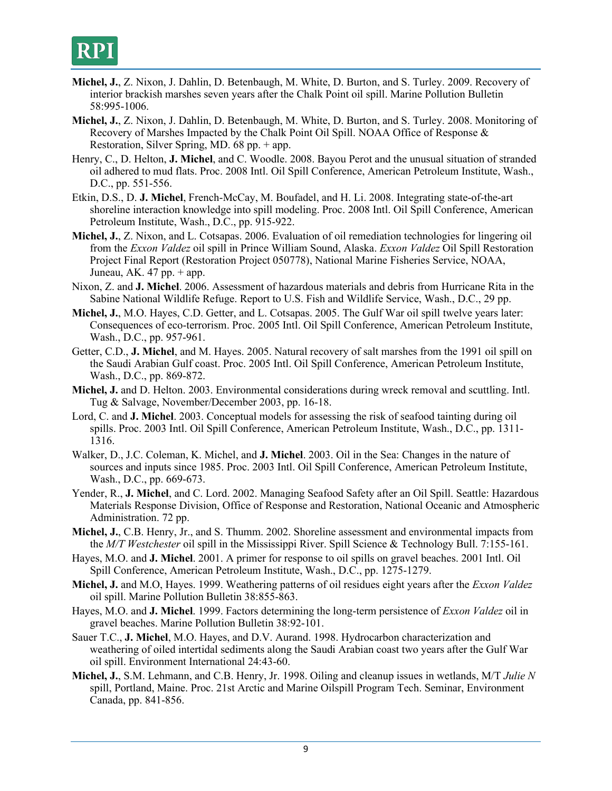

- **Michel, J.**, Z. Nixon, J. Dahlin, D. Betenbaugh, M. White, D. Burton, and S. Turley. 2009. Recovery of interior brackish marshes seven years after the Chalk Point oil spill. Marine Pollution Bulletin 58:995-1006.
- **Michel, J.**, Z. Nixon, J. Dahlin, D. Betenbaugh, M. White, D. Burton, and S. Turley. 2008. Monitoring of Recovery of Marshes Impacted by the Chalk Point Oil Spill. NOAA Office of Response & Restoration, Silver Spring, MD. 68 pp. + app.
- Henry, C., D. Helton, **J. Michel**, and C. Woodle. 2008. Bayou Perot and the unusual situation of stranded oil adhered to mud flats. Proc. 2008 Intl. Oil Spill Conference, American Petroleum Institute, Wash., D.C., pp. 551-556.
- Etkin, D.S., D. **J. Michel**, French-McCay, M. Boufadel, and H. Li. 2008. Integrating state-of-the-art shoreline interaction knowledge into spill modeling. Proc. 2008 Intl. Oil Spill Conference, American Petroleum Institute, Wash., D.C., pp. 915-922.
- **Michel, J.**, Z. Nixon, and L. Cotsapas. 2006. Evaluation of oil remediation technologies for lingering oil from the *Exxon Valdez* oil spill in Prince William Sound, Alaska. *Exxon Valdez* Oil Spill Restoration Project Final Report (Restoration Project 050778), National Marine Fisheries Service, NOAA, Juneau, AK.  $47$  pp.  $+$  app.
- Nixon, Z. and **J. Michel**. 2006. Assessment of hazardous materials and debris from Hurricane Rita in the Sabine National Wildlife Refuge. Report to U.S. Fish and Wildlife Service, Wash., D.C., 29 pp.
- **Michel, J.**, M.O. Hayes, C.D. Getter, and L. Cotsapas. 2005. The Gulf War oil spill twelve years later: Consequences of eco-terrorism. Proc. 2005 Intl. Oil Spill Conference, American Petroleum Institute, Wash., D.C., pp. 957-961.
- Getter, C.D., **J. Michel**, and M. Hayes. 2005. Natural recovery of salt marshes from the 1991 oil spill on the Saudi Arabian Gulf coast. Proc. 2005 Intl. Oil Spill Conference, American Petroleum Institute, Wash., D.C., pp. 869-872.
- **Michel, J.** and D. Helton. 2003. Environmental considerations during wreck removal and scuttling. Intl. Tug & Salvage, November/December 2003, pp. 16-18.
- Lord, C. and **J. Michel**. 2003. Conceptual models for assessing the risk of seafood tainting during oil spills. Proc. 2003 Intl. Oil Spill Conference, American Petroleum Institute, Wash., D.C., pp. 1311- 1316.
- Walker, D., J.C. Coleman, K. Michel, and **J. Michel**. 2003. Oil in the Sea: Changes in the nature of sources and inputs since 1985. Proc. 2003 Intl. Oil Spill Conference, American Petroleum Institute, Wash., D.C., pp. 669-673.
- Yender, R., **J. Michel**, and C. Lord. 2002. Managing Seafood Safety after an Oil Spill. Seattle: Hazardous Materials Response Division, Office of Response and Restoration, National Oceanic and Atmospheric Administration. 72 pp.
- **Michel, J.**, C.B. Henry, Jr., and S. Thumm. 2002. Shoreline assessment and environmental impacts from the *M/T Westchester* oil spill in the Mississippi River. Spill Science & Technology Bull. 7:155-161.
- Hayes, M.O. and **J. Michel**. 2001. A primer for response to oil spills on gravel beaches. 2001 Intl. Oil Spill Conference, American Petroleum Institute, Wash., D.C., pp. 1275-1279.
- **Michel, J.** and M.O, Hayes. 1999. Weathering patterns of oil residues eight years after the *Exxon Valdez* oil spill. Marine Pollution Bulletin 38:855-863.
- Hayes, M.O. and **J. Michel**. 1999. Factors determining the long-term persistence of *Exxon Valdez* oil in gravel beaches. Marine Pollution Bulletin 38:92-101.
- Sauer T.C., **J. Michel**, M.O. Hayes, and D.V. Aurand. 1998. Hydrocarbon characterization and weathering of oiled intertidal sediments along the Saudi Arabian coast two years after the Gulf War oil spill. Environment International 24:43-60.
- **Michel, J.**, S.M. Lehmann, and C.B. Henry, Jr. 1998. Oiling and cleanup issues in wetlands, M/T *Julie N* spill, Portland, Maine. Proc. 21st Arctic and Marine Oilspill Program Tech. Seminar, Environment Canada, pp. 841-856.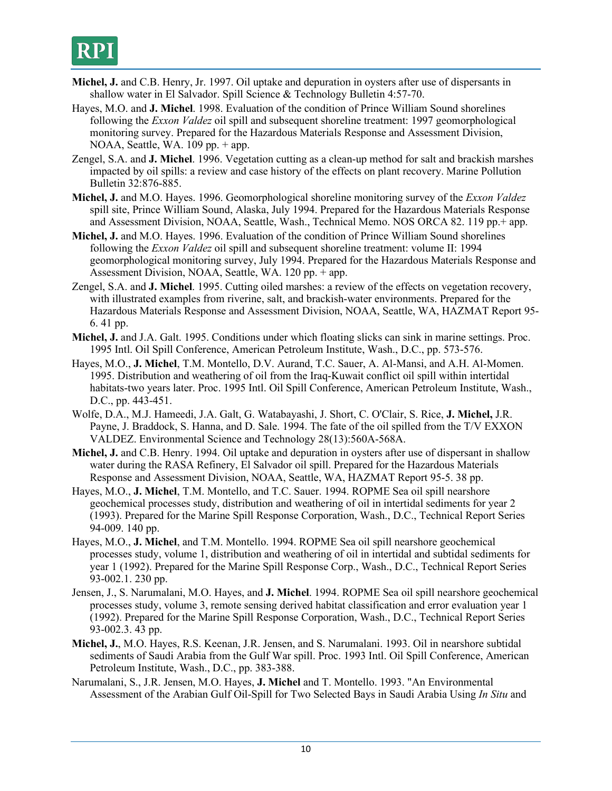- **Michel, J.** and C.B. Henry, Jr. 1997. Oil uptake and depuration in oysters after use of dispersants in shallow water in El Salvador. Spill Science & Technology Bulletin 4:57-70.
- Hayes, M.O. and **J. Michel**. 1998. Evaluation of the condition of Prince William Sound shorelines following the *Exxon Valdez* oil spill and subsequent shoreline treatment: 1997 geomorphological monitoring survey. Prepared for the Hazardous Materials Response and Assessment Division, NOAA, Seattle, WA.  $109$  pp.  $+$  app.
- Zengel, S.A. and **J. Michel**. 1996. Vegetation cutting as a clean-up method for salt and brackish marshes impacted by oil spills: a review and case history of the effects on plant recovery. Marine Pollution Bulletin 32:876-885.
- **Michel, J.** and M.O. Hayes. 1996. Geomorphological shoreline monitoring survey of the *Exxon Valdez* spill site, Prince William Sound, Alaska, July 1994. Prepared for the Hazardous Materials Response and Assessment Division, NOAA, Seattle, Wash., Technical Memo. NOS ORCA 82. 119 pp.+ app.
- **Michel, J.** and M.O. Hayes. 1996. Evaluation of the condition of Prince William Sound shorelines following the *Exxon Valdez* oil spill and subsequent shoreline treatment: volume II: 1994 geomorphological monitoring survey, July 1994. Prepared for the Hazardous Materials Response and Assessment Division, NOAA, Seattle, WA. 120 pp. + app.
- Zengel, S.A. and **J. Michel**. 1995. Cutting oiled marshes: a review of the effects on vegetation recovery, with illustrated examples from riverine, salt, and brackish-water environments. Prepared for the Hazardous Materials Response and Assessment Division, NOAA, Seattle, WA, HAZMAT Report 95- 6. 41 pp.
- **Michel, J.** and J.A. Galt. 1995. Conditions under which floating slicks can sink in marine settings. Proc. 1995 Intl. Oil Spill Conference, American Petroleum Institute, Wash., D.C., pp. 573-576.
- Hayes, M.O., **J. Michel**, T.M. Montello, D.V. Aurand, T.C. Sauer, A. Al-Mansi, and A.H. Al-Momen. 1995. Distribution and weathering of oil from the Iraq-Kuwait conflict oil spill within intertidal habitats-two years later. Proc. 1995 Intl. Oil Spill Conference, American Petroleum Institute, Wash., D.C., pp. 443-451.
- Wolfe, D.A., M.J. Hameedi, J.A. Galt, G. Watabayashi, J. Short, C. O'Clair, S. Rice, **J. Michel,** J.R. Payne, J. Braddock, S. Hanna, and D. Sale. 1994. The fate of the oil spilled from the T/V EXXON VALDEZ. Environmental Science and Technology 28(13):560A-568A.
- **Michel, J.** and C.B. Henry. 1994. Oil uptake and depuration in oysters after use of dispersant in shallow water during the RASA Refinery, El Salvador oil spill. Prepared for the Hazardous Materials Response and Assessment Division, NOAA, Seattle, WA, HAZMAT Report 95-5. 38 pp.
- Hayes, M.O., **J. Michel**, T.M. Montello, and T.C. Sauer. 1994. ROPME Sea oil spill nearshore geochemical processes study, distribution and weathering of oil in intertidal sediments for year 2 (1993). Prepared for the Marine Spill Response Corporation, Wash., D.C., Technical Report Series 94-009. 140 pp.
- Hayes, M.O., **J. Michel**, and T.M. Montello. 1994. ROPME Sea oil spill nearshore geochemical processes study, volume 1, distribution and weathering of oil in intertidal and subtidal sediments for year 1 (1992). Prepared for the Marine Spill Response Corp., Wash., D.C., Technical Report Series 93-002.1. 230 pp.
- Jensen, J., S. Narumalani, M.O. Hayes, and **J. Michel**. 1994. ROPME Sea oil spill nearshore geochemical processes study, volume 3, remote sensing derived habitat classification and error evaluation year 1 (1992). Prepared for the Marine Spill Response Corporation, Wash., D.C., Technical Report Series 93-002.3. 43 pp.
- **Michel, J.**, M.O. Hayes, R.S. Keenan, J.R. Jensen, and S. Narumalani. 1993. Oil in nearshore subtidal sediments of Saudi Arabia from the Gulf War spill. Proc. 1993 Intl. Oil Spill Conference, American Petroleum Institute, Wash., D.C., pp. 383-388.
- Narumalani, S., J.R. Jensen, M.O. Hayes, **J. Michel** and T. Montello. 1993. "An Environmental Assessment of the Arabian Gulf Oil-Spill for Two Selected Bays in Saudi Arabia Using *In Situ* and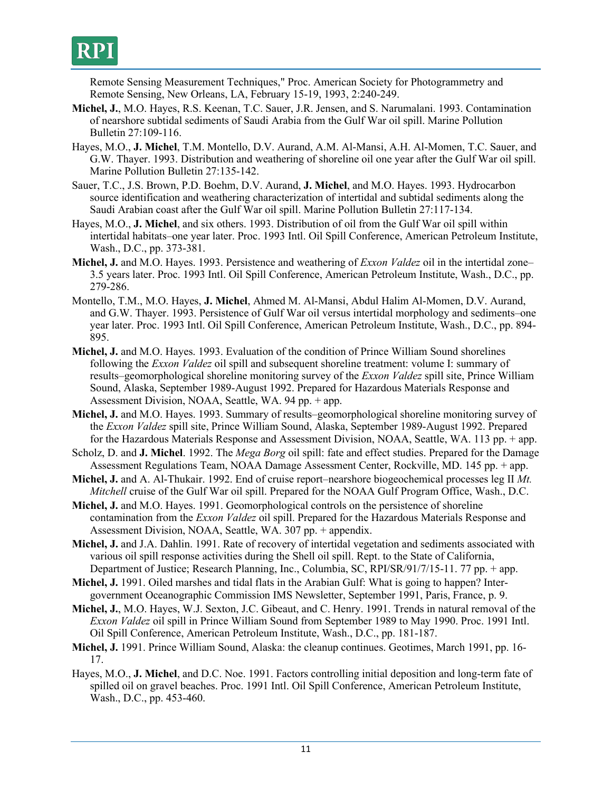

Remote Sensing Measurement Techniques," Proc. American Society for Photogrammetry and Remote Sensing, New Orleans, LA, February 15-19, 1993, 2:240-249.

- **Michel, J.**, M.O. Hayes, R.S. Keenan, T.C. Sauer, J.R. Jensen, and S. Narumalani. 1993. Contamination of nearshore subtidal sediments of Saudi Arabia from the Gulf War oil spill. Marine Pollution Bulletin 27:109-116.
- Hayes, M.O., **J. Michel**, T.M. Montello, D.V. Aurand, A.M. Al-Mansi, A.H. Al-Momen, T.C. Sauer, and G.W. Thayer. 1993. Distribution and weathering of shoreline oil one year after the Gulf War oil spill. Marine Pollution Bulletin 27:135-142.
- Sauer, T.C., J.S. Brown, P.D. Boehm, D.V. Aurand, **J. Michel**, and M.O. Hayes. 1993. Hydrocarbon source identification and weathering characterization of intertidal and subtidal sediments along the Saudi Arabian coast after the Gulf War oil spill. Marine Pollution Bulletin 27:117-134.
- Hayes, M.O., **J. Michel**, and six others. 1993. Distribution of oil from the Gulf War oil spill within intertidal habitats–one year later. Proc. 1993 Intl. Oil Spill Conference, American Petroleum Institute, Wash., D.C., pp. 373-381.
- **Michel, J.** and M.O. Hayes. 1993. Persistence and weathering of *Exxon Valdez* oil in the intertidal zone– 3.5 years later. Proc. 1993 Intl. Oil Spill Conference, American Petroleum Institute, Wash., D.C., pp. 279-286.
- Montello, T.M., M.O. Hayes, **J. Michel**, Ahmed M. Al-Mansi, Abdul Halim Al-Momen, D.V. Aurand, and G.W. Thayer. 1993. Persistence of Gulf War oil versus intertidal morphology and sediments–one year later. Proc. 1993 Intl. Oil Spill Conference, American Petroleum Institute, Wash., D.C., pp. 894- 895.
- **Michel, J.** and M.O. Hayes. 1993. Evaluation of the condition of Prince William Sound shorelines following the *Exxon Valdez* oil spill and subsequent shoreline treatment: volume I: summary of results–geomorphological shoreline monitoring survey of the *Exxon Valdez* spill site, Prince William Sound, Alaska, September 1989-August 1992. Prepared for Hazardous Materials Response and Assessment Division, NOAA, Seattle, WA. 94 pp. + app.
- **Michel, J.** and M.O. Hayes. 1993. Summary of results–geomorphological shoreline monitoring survey of the *Exxon Valdez* spill site, Prince William Sound, Alaska, September 1989-August 1992. Prepared for the Hazardous Materials Response and Assessment Division, NOAA, Seattle, WA. 113 pp. + app.
- Scholz, D. and **J. Michel**. 1992. The *Mega Borg* oil spill: fate and effect studies. Prepared for the Damage Assessment Regulations Team, NOAA Damage Assessment Center, Rockville, MD. 145 pp. + app.
- **Michel, J.** and A. Al-Thukair. 1992. End of cruise report–nearshore biogeochemical processes leg II *Mt. Mitchell* cruise of the Gulf War oil spill. Prepared for the NOAA Gulf Program Office, Wash., D.C.
- **Michel, J.** and M.O. Hayes. 1991. Geomorphological controls on the persistence of shoreline contamination from the *Exxon Valdez* oil spill. Prepared for the Hazardous Materials Response and Assessment Division, NOAA, Seattle, WA. 307 pp. + appendix.
- **Michel, J.** and J.A. Dahlin. 1991. Rate of recovery of intertidal vegetation and sediments associated with various oil spill response activities during the Shell oil spill. Rept. to the State of California, Department of Justice; Research Planning, Inc., Columbia, SC, RPI/SR/91/7/15-11. 77 pp. + app.
- **Michel, J.** 1991. Oiled marshes and tidal flats in the Arabian Gulf: What is going to happen? Intergovernment Oceanographic Commission IMS Newsletter, September 1991, Paris, France, p. 9.
- **Michel, J.**, M.O. Hayes, W.J. Sexton, J.C. Gibeaut, and C. Henry. 1991. Trends in natural removal of the *Exxon Valdez* oil spill in Prince William Sound from September 1989 to May 1990. Proc. 1991 Intl. Oil Spill Conference, American Petroleum Institute, Wash., D.C., pp. 181-187.
- **Michel, J.** 1991. Prince William Sound, Alaska: the cleanup continues. Geotimes, March 1991, pp. 16- 17.
- Hayes, M.O., **J. Michel**, and D.C. Noe. 1991. Factors controlling initial deposition and long-term fate of spilled oil on gravel beaches. Proc. 1991 Intl. Oil Spill Conference, American Petroleum Institute, Wash., D.C., pp. 453-460.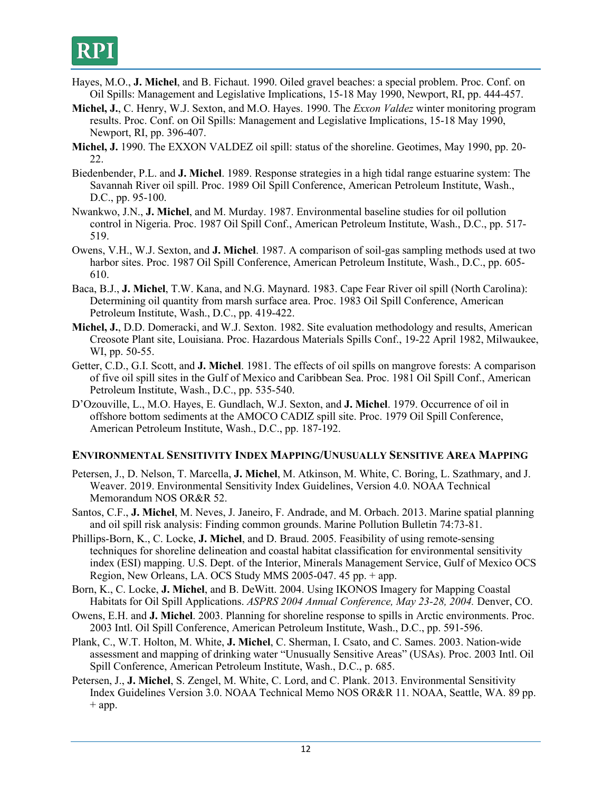

- Hayes, M.O., **J. Michel**, and B. Fichaut. 1990. Oiled gravel beaches: a special problem. Proc. Conf. on Oil Spills: Management and Legislative Implications, 15-18 May 1990, Newport, RI, pp. 444-457.
- **Michel, J.**, C. Henry, W.J. Sexton, and M.O. Hayes. 1990. The *Exxon Valdez* winter monitoring program results. Proc. Conf. on Oil Spills: Management and Legislative Implications, 15-18 May 1990, Newport, RI, pp. 396-407.
- **Michel, J.** 1990. The EXXON VALDEZ oil spill: status of the shoreline. Geotimes, May 1990, pp. 20- 22.
- Biedenbender, P.L. and **J. Michel**. 1989. Response strategies in a high tidal range estuarine system: The Savannah River oil spill. Proc. 1989 Oil Spill Conference, American Petroleum Institute, Wash., D.C., pp. 95-100.
- Nwankwo, J.N., **J. Michel**, and M. Murday. 1987. Environmental baseline studies for oil pollution control in Nigeria. Proc. 1987 Oil Spill Conf., American Petroleum Institute, Wash., D.C., pp. 517- 519.
- Owens, V.H., W.J. Sexton, and **J. Michel**. 1987. A comparison of soil-gas sampling methods used at two harbor sites. Proc. 1987 Oil Spill Conference, American Petroleum Institute, Wash., D.C., pp. 605- 610.
- Baca, B.J., **J. Michel**, T.W. Kana, and N.G. Maynard. 1983. Cape Fear River oil spill (North Carolina): Determining oil quantity from marsh surface area. Proc. 1983 Oil Spill Conference, American Petroleum Institute, Wash., D.C., pp. 419-422.
- **Michel, J.**, D.D. Domeracki, and W.J. Sexton. 1982. Site evaluation methodology and results, American Creosote Plant site, Louisiana. Proc. Hazardous Materials Spills Conf., 19-22 April 1982, Milwaukee, WI, pp. 50-55.
- Getter, C.D., G.I. Scott, and **J. Michel**. 1981. The effects of oil spills on mangrove forests: A comparison of five oil spill sites in the Gulf of Mexico and Caribbean Sea. Proc. 1981 Oil Spill Conf., American Petroleum Institute, Wash., D.C., pp. 535-540.
- D'Ozouville, L., M.O. Hayes, E. Gundlach, W.J. Sexton, and **J. Michel**. 1979. Occurrence of oil in offshore bottom sediments at the AMOCO CADIZ spill site. Proc. 1979 Oil Spill Conference, American Petroleum Institute, Wash., D.C., pp. 187-192.

### **ENVIRONMENTAL SENSITIVITY INDEX MAPPING/UNUSUALLY SENSITIVE AREA MAPPING**

- Petersen, J., D. Nelson, T. Marcella, **J. Michel**, M. Atkinson, M. White, C. Boring, L. Szathmary, and J. Weaver. 2019. Environmental Sensitivity Index Guidelines, Version 4.0. NOAA Technical Memorandum NOS OR&R 52.
- Santos, C.F., **J. Michel**, M. Neves, J. Janeiro, F. Andrade, and M. Orbach. 2013. Marine spatial planning and oil spill risk analysis: Finding common grounds. Marine Pollution Bulletin 74:73-81.
- Phillips-Born, K., C. Locke, **J. Michel**, and D. Braud. 2005. Feasibility of using remote-sensing techniques for shoreline delineation and coastal habitat classification for environmental sensitivity index (ESI) mapping. U.S. Dept. of the Interior, Minerals Management Service, Gulf of Mexico OCS Region, New Orleans, LA. OCS Study MMS 2005-047. 45 pp. + app.
- Born, K., C. Locke, **J. Michel**, and B. DeWitt. 2004. Using IKONOS Imagery for Mapping Coastal Habitats for Oil Spill Applications. *ASPRS 2004 Annual Conference, May 23-28, 2004.* Denver, CO.
- Owens, E.H. and **J. Michel**. 2003. Planning for shoreline response to spills in Arctic environments. Proc. 2003 Intl. Oil Spill Conference, American Petroleum Institute, Wash., D.C., pp. 591-596.
- Plank, C., W.T. Holton, M. White, **J. Michel**, C. Sherman, I. Csato, and C. Sames. 2003. Nation-wide assessment and mapping of drinking water "Unusually Sensitive Areas" (USAs). Proc. 2003 Intl. Oil Spill Conference, American Petroleum Institute, Wash., D.C., p. 685.
- Petersen, J., **J. Michel**, S. Zengel, M. White, C. Lord, and C. Plank. 2013. Environmental Sensitivity Index Guidelines Version 3.0. NOAA Technical Memo NOS OR&R 11. NOAA, Seattle, WA. 89 pp.  $+$  app.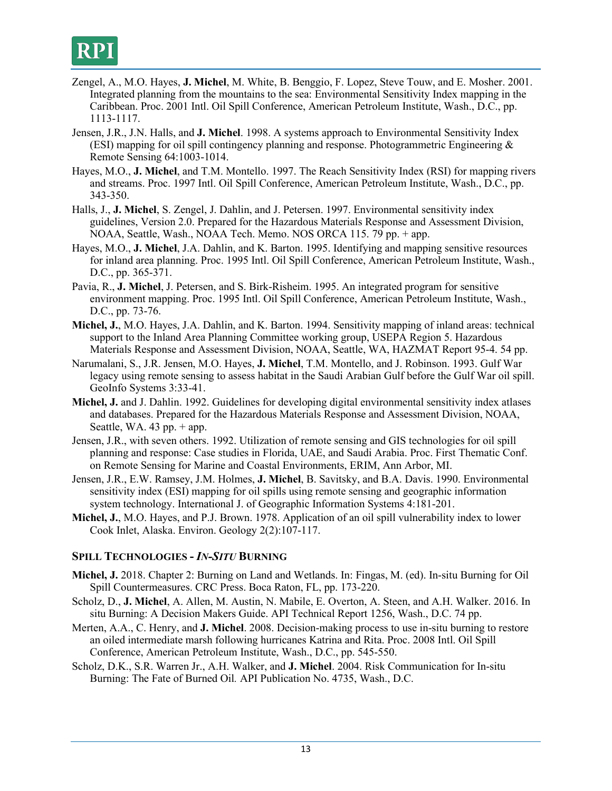

- Zengel, A., M.O. Hayes, **J. Michel**, M. White, B. Benggio, F. Lopez, Steve Touw, and E. Mosher. 2001. Integrated planning from the mountains to the sea: Environmental Sensitivity Index mapping in the Caribbean. Proc. 2001 Intl. Oil Spill Conference, American Petroleum Institute, Wash., D.C., pp. 1113-1117.
- Jensen, J.R., J.N. Halls, and **J. Michel**. 1998. A systems approach to Environmental Sensitivity Index (ESI) mapping for oil spill contingency planning and response. Photogrammetric Engineering  $\&$ Remote Sensing 64:1003-1014.
- Hayes, M.O., **J. Michel**, and T.M. Montello. 1997. The Reach Sensitivity Index (RSI) for mapping rivers and streams. Proc. 1997 Intl. Oil Spill Conference, American Petroleum Institute, Wash., D.C., pp. 343-350.
- Halls, J., **J. Michel**, S. Zengel, J. Dahlin, and J. Petersen. 1997. Environmental sensitivity index guidelines, Version 2.0. Prepared for the Hazardous Materials Response and Assessment Division, NOAA, Seattle, Wash., NOAA Tech. Memo. NOS ORCA 115. 79 pp. + app.
- Hayes, M.O., **J. Michel**, J.A. Dahlin, and K. Barton. 1995. Identifying and mapping sensitive resources for inland area planning. Proc. 1995 Intl. Oil Spill Conference, American Petroleum Institute, Wash., D.C., pp. 365-371.
- Pavia, R., **J. Michel**, J. Petersen, and S. Birk-Risheim. 1995. An integrated program for sensitive environment mapping. Proc. 1995 Intl. Oil Spill Conference, American Petroleum Institute, Wash., D.C., pp. 73-76.
- **Michel, J.**, M.O. Hayes, J.A. Dahlin, and K. Barton. 1994. Sensitivity mapping of inland areas: technical support to the Inland Area Planning Committee working group, USEPA Region 5. Hazardous Materials Response and Assessment Division, NOAA, Seattle, WA, HAZMAT Report 95-4. 54 pp.
- Narumalani, S., J.R. Jensen, M.O. Hayes, **J. Michel**, T.M. Montello, and J. Robinson. 1993. Gulf War legacy using remote sensing to assess habitat in the Saudi Arabian Gulf before the Gulf War oil spill. GeoInfo Systems 3:33-41.
- **Michel, J.** and J. Dahlin. 1992. Guidelines for developing digital environmental sensitivity index atlases and databases. Prepared for the Hazardous Materials Response and Assessment Division, NOAA, Seattle, WA.  $43$  pp.  $+$  app.
- Jensen, J.R., with seven others. 1992. Utilization of remote sensing and GIS technologies for oil spill planning and response: Case studies in Florida, UAE, and Saudi Arabia. Proc. First Thematic Conf. on Remote Sensing for Marine and Coastal Environments, ERIM, Ann Arbor, MI.
- Jensen, J.R., E.W. Ramsey, J.M. Holmes, **J. Michel**, B. Savitsky, and B.A. Davis. 1990. Environmental sensitivity index (ESI) mapping for oil spills using remote sensing and geographic information system technology. International J. of Geographic Information Systems 4:181-201.
- **Michel, J.**, M.O. Hayes, and P.J. Brown. 1978. Application of an oil spill vulnerability index to lower Cook Inlet, Alaska. Environ. Geology 2(2):107-117.

### **SPILL TECHNOLOGIES -** *IN-SITU* **BURNING**

- **Michel, J.** 2018. Chapter 2: Burning on Land and Wetlands. In: Fingas, M. (ed). In-situ Burning for Oil Spill Countermeasures. CRC Press. Boca Raton, FL, pp. 173-220.
- Scholz, D., **J. Michel**, A. Allen, M. Austin, N. Mabile, E. Overton, A. Steen, and A.H. Walker. 2016. In situ Burning: A Decision Makers Guide. API Technical Report 1256, Wash., D.C. 74 pp.
- Merten, A.A., C. Henry, and **J. Michel**. 2008. Decision-making process to use in-situ burning to restore an oiled intermediate marsh following hurricanes Katrina and Rita. Proc. 2008 Intl. Oil Spill Conference, American Petroleum Institute, Wash., D.C., pp. 545-550.
- Scholz, D.K., S.R. Warren Jr., A.H. Walker, and **J. Michel**. 2004. Risk Communication for In-situ Burning: The Fate of Burned Oil*.* API Publication No. 4735, Wash., D.C.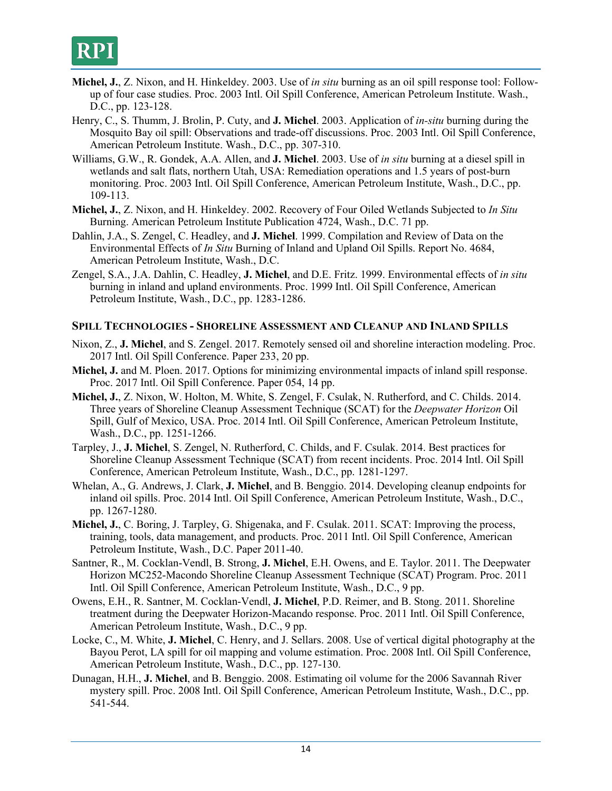

- **Michel, J.**, Z. Nixon, and H. Hinkeldey. 2003. Use of *in situ* burning as an oil spill response tool: Followup of four case studies. Proc. 2003 Intl. Oil Spill Conference, American Petroleum Institute. Wash., D.C., pp. 123-128.
- Henry, C., S. Thumm, J. Brolin, P. Cuty, and **J. Michel**. 2003. Application of *in-situ* burning during the Mosquito Bay oil spill: Observations and trade-off discussions. Proc. 2003 Intl. Oil Spill Conference, American Petroleum Institute. Wash., D.C., pp. 307-310.
- Williams, G.W., R. Gondek, A.A. Allen, and **J. Michel**. 2003. Use of *in situ* burning at a diesel spill in wetlands and salt flats, northern Utah, USA: Remediation operations and 1.5 years of post-burn monitoring. Proc. 2003 Intl. Oil Spill Conference, American Petroleum Institute, Wash., D.C., pp. 109-113.
- **Michel, J.**, Z. Nixon, and H. Hinkeldey. 2002. Recovery of Four Oiled Wetlands Subjected to *In Situ* Burning. American Petroleum Institute Publication 4724, Wash., D.C. 71 pp.
- Dahlin, J.A., S. Zengel, C. Headley, and **J. Michel**. 1999. Compilation and Review of Data on the Environmental Effects of *In Situ* Burning of Inland and Upland Oil Spills. Report No. 4684, American Petroleum Institute, Wash., D.C.
- Zengel, S.A., J.A. Dahlin, C. Headley, **J. Michel**, and D.E. Fritz. 1999. Environmental effects of *in situ* burning in inland and upland environments. Proc. 1999 Intl. Oil Spill Conference, American Petroleum Institute, Wash., D.C., pp. 1283-1286.

### **SPILL TECHNOLOGIES - SHORELINE ASSESSMENT AND CLEANUP AND INLAND SPILLS**

- Nixon, Z., **J. Michel**, and S. Zengel. 2017. Remotely sensed oil and shoreline interaction modeling. Proc. 2017 Intl. Oil Spill Conference. Paper 233, 20 pp.
- **Michel, J.** and M. Ploen. 2017. Options for minimizing environmental impacts of inland spill response. Proc. 2017 Intl. Oil Spill Conference. Paper 054, 14 pp.
- **Michel, J.**, Z. Nixon, W. Holton, M. White, S. Zengel, F. Csulak, N. Rutherford, and C. Childs. 2014. Three years of Shoreline Cleanup Assessment Technique (SCAT) for the *Deepwater Horizon* Oil Spill, Gulf of Mexico, USA. Proc. 2014 Intl. Oil Spill Conference, American Petroleum Institute, Wash., D.C., pp. 1251-1266.
- Tarpley, J., **J. Michel**, S. Zengel, N. Rutherford, C. Childs, and F. Csulak. 2014. Best practices for Shoreline Cleanup Assessment Technique (SCAT) from recent incidents. Proc. 2014 Intl. Oil Spill Conference, American Petroleum Institute, Wash., D.C., pp. 1281-1297.
- Whelan, A., G. Andrews, J. Clark, **J. Michel**, and B. Benggio. 2014. Developing cleanup endpoints for inland oil spills. Proc. 2014 Intl. Oil Spill Conference, American Petroleum Institute, Wash., D.C., pp. 1267-1280.
- **Michel, J.**, C. Boring, J. Tarpley, G. Shigenaka, and F. Csulak. 2011. SCAT: Improving the process, training, tools, data management, and products. Proc. 2011 Intl. Oil Spill Conference, American Petroleum Institute, Wash., D.C. Paper 2011-40.
- Santner, R., M. Cocklan-Vendl, B. Strong, **J. Michel**, E.H. Owens, and E. Taylor. 2011. The Deepwater Horizon MC252-Macondo Shoreline Cleanup Assessment Technique (SCAT) Program. Proc. 2011 Intl. Oil Spill Conference, American Petroleum Institute, Wash., D.C., 9 pp.
- Owens, E.H., R. Santner, M. Cocklan-Vendl, **J. Michel**, P.D. Reimer, and B. Stong. 2011. Shoreline treatment during the Deepwater Horizon-Macando response. Proc. 2011 Intl. Oil Spill Conference, American Petroleum Institute, Wash., D.C., 9 pp.
- Locke, C., M. White, **J. Michel**, C. Henry, and J. Sellars. 2008. Use of vertical digital photography at the Bayou Perot, LA spill for oil mapping and volume estimation. Proc. 2008 Intl. Oil Spill Conference, American Petroleum Institute, Wash., D.C., pp. 127-130.
- Dunagan, H.H., **J. Michel**, and B. Benggio. 2008. Estimating oil volume for the 2006 Savannah River mystery spill. Proc. 2008 Intl. Oil Spill Conference, American Petroleum Institute, Wash., D.C., pp. 541-544.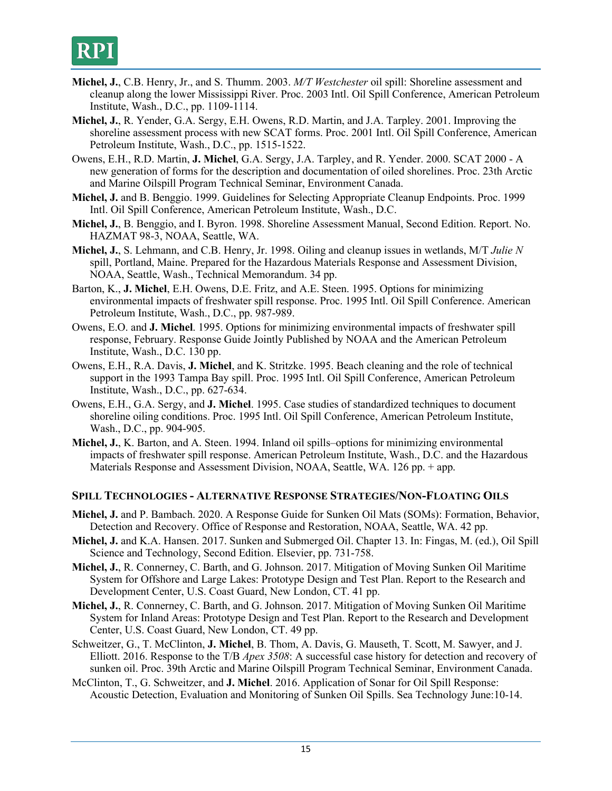- **Michel, J.**, C.B. Henry, Jr., and S. Thumm. 2003. *M/T Westchester* oil spill: Shoreline assessment and cleanup along the lower Mississippi River. Proc. 2003 Intl. Oil Spill Conference, American Petroleum Institute, Wash., D.C., pp. 1109-1114.
- **Michel, J.**, R. Yender, G.A. Sergy, E.H. Owens, R.D. Martin, and J.A. Tarpley. 2001. Improving the shoreline assessment process with new SCAT forms. Proc. 2001 Intl. Oil Spill Conference, American Petroleum Institute, Wash., D.C., pp. 1515-1522.
- Owens, E.H., R.D. Martin, **J. Michel**, G.A. Sergy, J.A. Tarpley, and R. Yender. 2000. SCAT 2000 A new generation of forms for the description and documentation of oiled shorelines. Proc. 23th Arctic and Marine Oilspill Program Technical Seminar, Environment Canada.
- **Michel, J.** and B. Benggio. 1999. Guidelines for Selecting Appropriate Cleanup Endpoints. Proc. 1999 Intl. Oil Spill Conference, American Petroleum Institute, Wash., D.C.
- **Michel, J.**, B. Benggio, and I. Byron. 1998. Shoreline Assessment Manual, Second Edition. Report. No. HAZMAT 98-3, NOAA, Seattle, WA.
- **Michel, J.**, S. Lehmann, and C.B. Henry, Jr. 1998. Oiling and cleanup issues in wetlands, M/T *Julie N* spill, Portland, Maine. Prepared for the Hazardous Materials Response and Assessment Division, NOAA, Seattle, Wash., Technical Memorandum. 34 pp.
- Barton, K., **J. Michel**, E.H. Owens, D.E. Fritz, and A.E. Steen. 1995. Options for minimizing environmental impacts of freshwater spill response. Proc. 1995 Intl. Oil Spill Conference. American Petroleum Institute, Wash., D.C., pp. 987-989.
- Owens, E.O. and **J. Michel**. 1995. Options for minimizing environmental impacts of freshwater spill response, February. Response Guide Jointly Published by NOAA and the American Petroleum Institute, Wash., D.C. 130 pp.
- Owens, E.H., R.A. Davis, **J. Michel**, and K. Stritzke. 1995. Beach cleaning and the role of technical support in the 1993 Tampa Bay spill. Proc. 1995 Intl. Oil Spill Conference, American Petroleum Institute, Wash., D.C., pp. 627-634.
- Owens, E.H., G.A. Sergy, and **J. Michel**. 1995. Case studies of standardized techniques to document shoreline oiling conditions. Proc. 1995 Intl. Oil Spill Conference, American Petroleum Institute, Wash., D.C., pp. 904-905.
- **Michel, J.**, K. Barton, and A. Steen. 1994. Inland oil spills–options for minimizing environmental impacts of freshwater spill response. American Petroleum Institute, Wash., D.C. and the Hazardous Materials Response and Assessment Division, NOAA, Seattle, WA. 126 pp. + app.

### **SPILL TECHNOLOGIES - ALTERNATIVE RESPONSE STRATEGIES/NON-FLOATING OILS**

- **Michel, J.** and P. Bambach. 2020. A Response Guide for Sunken Oil Mats (SOMs): Formation, Behavior, Detection and Recovery. Office of Response and Restoration, NOAA, Seattle, WA. 42 pp.
- **Michel, J.** and K.A. Hansen. 2017. Sunken and Submerged Oil. Chapter 13. In: Fingas, M. (ed.), Oil Spill Science and Technology, Second Edition. Elsevier, pp. 731-758.
- **Michel, J.**, R. Connerney, C. Barth, and G. Johnson. 2017. Mitigation of Moving Sunken Oil Maritime System for Offshore and Large Lakes: Prototype Design and Test Plan. Report to the Research and Development Center, U.S. Coast Guard, New London, CT. 41 pp.
- **Michel, J.**, R. Connerney, C. Barth, and G. Johnson. 2017. Mitigation of Moving Sunken Oil Maritime System for Inland Areas: Prototype Design and Test Plan. Report to the Research and Development Center, U.S. Coast Guard, New London, CT. 49 pp.
- Schweitzer, G., T. McClinton, **J. Michel**, B. Thom, A. Davis, G. Mauseth, T. Scott, M. Sawyer, and J. Elliott. 2016. Response to the T/B *Apex 3508*: A successful case history for detection and recovery of sunken oil. Proc. 39th Arctic and Marine Oilspill Program Technical Seminar, Environment Canada.
- McClinton, T., G. Schweitzer, and **J. Michel**. 2016. Application of Sonar for Oil Spill Response: Acoustic Detection, Evaluation and Monitoring of Sunken Oil Spills. Sea Technology June:10-14.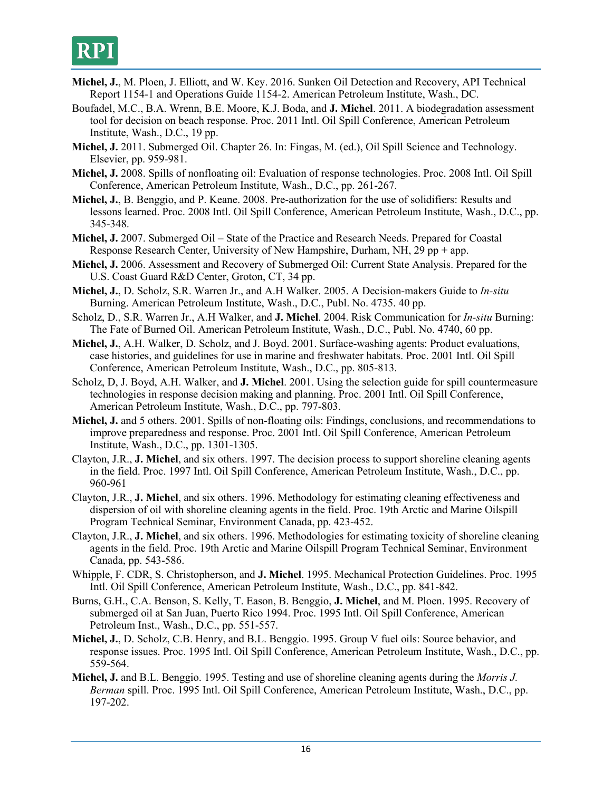- **Michel, J.**, M. Ploen, J. Elliott, and W. Key. 2016. Sunken Oil Detection and Recovery, API Technical Report 1154-1 and Operations Guide 1154-2. American Petroleum Institute, Wash., DC.
- Boufadel, M.C., B.A. Wrenn, B.E. Moore, K.J. Boda, and **J. Michel**. 2011. A biodegradation assessment tool for decision on beach response. Proc. 2011 Intl. Oil Spill Conference, American Petroleum Institute, Wash., D.C., 19 pp.
- **Michel, J.** 2011. Submerged Oil. Chapter 26. In: Fingas, M. (ed.), Oil Spill Science and Technology. Elsevier, pp. 959-981.
- **Michel, J.** 2008. Spills of nonfloating oil: Evaluation of response technologies. Proc. 2008 Intl. Oil Spill Conference, American Petroleum Institute, Wash., D.C., pp. 261-267.
- **Michel, J.**, B. Benggio, and P. Keane. 2008. Pre-authorization for the use of solidifiers: Results and lessons learned. Proc. 2008 Intl. Oil Spill Conference, American Petroleum Institute, Wash., D.C., pp. 345-348.
- **Michel, J.** 2007. Submerged Oil State of the Practice and Research Needs. Prepared for Coastal Response Research Center, University of New Hampshire, Durham, NH, 29 pp + app.
- **Michel, J.** 2006. Assessment and Recovery of Submerged Oil: Current State Analysis. Prepared for the U.S. Coast Guard R&D Center, Groton, CT, 34 pp.
- **Michel, J.**, D. Scholz, S.R. Warren Jr., and A.H Walker. 2005. A Decision-makers Guide to *In-situ* Burning. American Petroleum Institute, Wash., D.C., Publ. No. 4735. 40 pp.
- Scholz, D., S.R. Warren Jr., A.H Walker, and **J. Michel**. 2004. Risk Communication for *In-situ* Burning: The Fate of Burned Oil. American Petroleum Institute, Wash., D.C., Publ. No. 4740, 60 pp.
- **Michel, J.**, A.H. Walker, D. Scholz, and J. Boyd. 2001. Surface-washing agents: Product evaluations, case histories, and guidelines for use in marine and freshwater habitats. Proc. 2001 Intl. Oil Spill Conference, American Petroleum Institute, Wash., D.C., pp. 805-813.
- Scholz, D, J. Boyd, A.H. Walker, and **J. Michel**. 2001. Using the selection guide for spill countermeasure technologies in response decision making and planning. Proc. 2001 Intl. Oil Spill Conference, American Petroleum Institute, Wash., D.C., pp. 797-803.
- **Michel, J.** and 5 others. 2001. Spills of non-floating oils: Findings, conclusions, and recommendations to improve preparedness and response. Proc. 2001 Intl. Oil Spill Conference, American Petroleum Institute, Wash., D.C., pp. 1301-1305.
- Clayton, J.R., **J. Michel**, and six others. 1997. The decision process to support shoreline cleaning agents in the field. Proc. 1997 Intl. Oil Spill Conference, American Petroleum Institute, Wash., D.C., pp. 960-961
- Clayton, J.R., **J. Michel**, and six others. 1996. Methodology for estimating cleaning effectiveness and dispersion of oil with shoreline cleaning agents in the field. Proc. 19th Arctic and Marine Oilspill Program Technical Seminar, Environment Canada, pp. 423-452.
- Clayton, J.R., **J. Michel**, and six others. 1996. Methodologies for estimating toxicity of shoreline cleaning agents in the field. Proc. 19th Arctic and Marine Oilspill Program Technical Seminar, Environment Canada, pp. 543-586.
- Whipple, F. CDR, S. Christopherson, and **J. Michel**. 1995. Mechanical Protection Guidelines. Proc. 1995 Intl. Oil Spill Conference, American Petroleum Institute, Wash., D.C., pp. 841-842.
- Burns, G.H., C.A. Benson, S. Kelly, T. Eason, B. Benggio, **J. Michel**, and M. Ploen. 1995. Recovery of submerged oil at San Juan, Puerto Rico 1994. Proc. 1995 Intl. Oil Spill Conference, American Petroleum Inst., Wash., D.C., pp. 551-557.
- **Michel, J.**, D. Scholz, C.B. Henry, and B.L. Benggio. 1995. Group V fuel oils: Source behavior, and response issues. Proc. 1995 Intl. Oil Spill Conference, American Petroleum Institute, Wash., D.C., pp. 559-564.
- **Michel, J.** and B.L. Benggio. 1995. Testing and use of shoreline cleaning agents during the *Morris J. Berman* spill. Proc. 1995 Intl. Oil Spill Conference, American Petroleum Institute, Wash., D.C., pp. 197-202.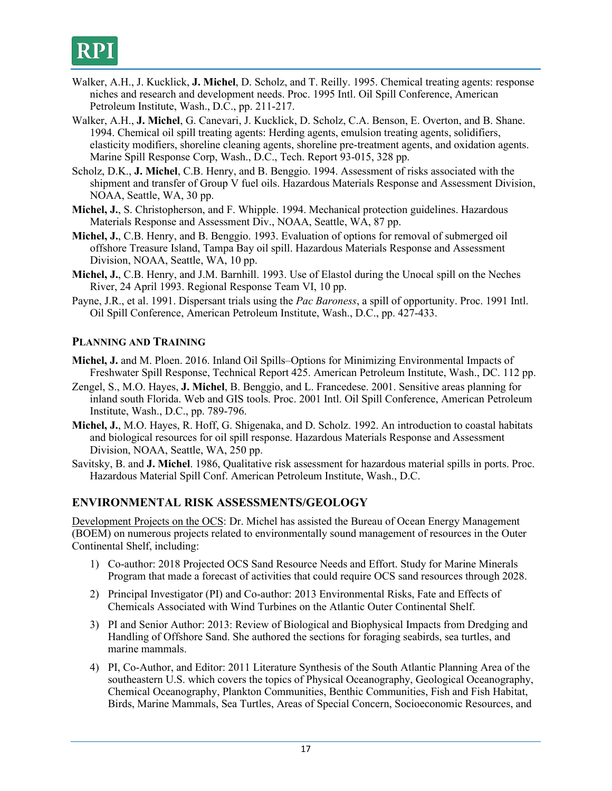

- Walker, A.H., J. Kucklick, **J. Michel**, D. Scholz, and T. Reilly. 1995. Chemical treating agents: response niches and research and development needs. Proc. 1995 Intl. Oil Spill Conference, American Petroleum Institute, Wash., D.C., pp. 211-217.
- Walker, A.H., **J. Michel**, G. Canevari, J. Kucklick, D. Scholz, C.A. Benson, E. Overton, and B. Shane. 1994. Chemical oil spill treating agents: Herding agents, emulsion treating agents, solidifiers, elasticity modifiers, shoreline cleaning agents, shoreline pre-treatment agents, and oxidation agents. Marine Spill Response Corp, Wash., D.C., Tech. Report 93-015, 328 pp.
- Scholz, D.K., **J. Michel**, C.B. Henry, and B. Benggio. 1994. Assessment of risks associated with the shipment and transfer of Group V fuel oils. Hazardous Materials Response and Assessment Division, NOAA, Seattle, WA, 30 pp.
- **Michel, J.**, S. Christopherson, and F. Whipple. 1994. Mechanical protection guidelines. Hazardous Materials Response and Assessment Div., NOAA, Seattle, WA, 87 pp.
- **Michel, J.**, C.B. Henry, and B. Benggio. 1993. Evaluation of options for removal of submerged oil offshore Treasure Island, Tampa Bay oil spill. Hazardous Materials Response and Assessment Division, NOAA, Seattle, WA, 10 pp.
- **Michel, J.**, C.B. Henry, and J.M. Barnhill. 1993. Use of Elastol during the Unocal spill on the Neches River, 24 April 1993. Regional Response Team VI, 10 pp.
- Payne, J.R., et al. 1991. Dispersant trials using the *Pac Baroness*, a spill of opportunity. Proc. 1991 Intl. Oil Spill Conference, American Petroleum Institute, Wash., D.C., pp. 427-433.

### **PLANNING AND TRAINING**

- **Michel, J.** and M. Ploen. 2016. Inland Oil Spills–Options for Minimizing Environmental Impacts of Freshwater Spill Response, Technical Report 425. American Petroleum Institute, Wash., DC. 112 pp.
- Zengel, S., M.O. Hayes, **J. Michel**, B. Benggio, and L. Francedese. 2001. Sensitive areas planning for inland south Florida. Web and GIS tools. Proc. 2001 Intl. Oil Spill Conference, American Petroleum Institute, Wash., D.C., pp. 789-796.
- **Michel, J.**, M.O. Hayes, R. Hoff, G. Shigenaka, and D. Scholz. 1992. An introduction to coastal habitats and biological resources for oil spill response. Hazardous Materials Response and Assessment Division, NOAA, Seattle, WA, 250 pp.
- Savitsky, B. and **J. Michel**. 1986, Qualitative risk assessment for hazardous material spills in ports. Proc. Hazardous Material Spill Conf. American Petroleum Institute, Wash., D.C.

### **ENVIRONMENTAL RISK ASSESSMENTS/GEOLOGY**

Development Projects on the OCS: Dr. Michel has assisted the Bureau of Ocean Energy Management (BOEM) on numerous projects related to environmentally sound management of resources in the Outer Continental Shelf, including:

- 1) Co-author: 2018 Projected OCS Sand Resource Needs and Effort. Study for Marine Minerals Program that made a forecast of activities that could require OCS sand resources through 2028.
- 2) Principal Investigator (PI) and Co-author: 2013 Environmental Risks, Fate and Effects of Chemicals Associated with Wind Turbines on the Atlantic Outer Continental Shelf.
- 3) PI and Senior Author: 2013: Review of Biological and Biophysical Impacts from Dredging and Handling of Offshore Sand. She authored the sections for foraging seabirds, sea turtles, and marine mammals.
- 4) PI, Co-Author, and Editor: 2011 Literature Synthesis of the South Atlantic Planning Area of the southeastern U.S. which covers the topics of Physical Oceanography, Geological Oceanography, Chemical Oceanography, Plankton Communities, Benthic Communities, Fish and Fish Habitat, Birds, Marine Mammals, Sea Turtles, Areas of Special Concern, Socioeconomic Resources, and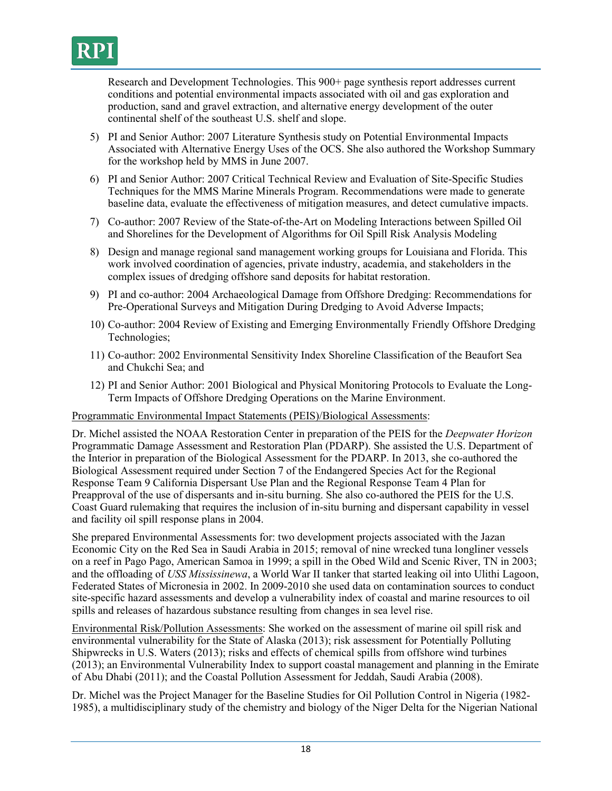

Research and Development Technologies. This 900+ page synthesis report addresses current conditions and potential environmental impacts associated with oil and gas exploration and production, sand and gravel extraction, and alternative energy development of the outer continental shelf of the southeast U.S. shelf and slope.

- 5) PI and Senior Author: 2007 Literature Synthesis study on Potential Environmental Impacts Associated with Alternative Energy Uses of the OCS. She also authored the Workshop Summary for the workshop held by MMS in June 2007.
- 6) PI and Senior Author: 2007 Critical Technical Review and Evaluation of Site-Specific Studies Techniques for the MMS Marine Minerals Program. Recommendations were made to generate baseline data, evaluate the effectiveness of mitigation measures, and detect cumulative impacts.
- 7) Co-author: 2007 Review of the State-of-the-Art on Modeling Interactions between Spilled Oil and Shorelines for the Development of Algorithms for Oil Spill Risk Analysis Modeling
- 8) Design and manage regional sand management working groups for Louisiana and Florida. This work involved coordination of agencies, private industry, academia, and stakeholders in the complex issues of dredging offshore sand deposits for habitat restoration.
- 9) PI and co-author: 2004 Archaeological Damage from Offshore Dredging: Recommendations for Pre-Operational Surveys and Mitigation During Dredging to Avoid Adverse Impacts;
- 10) Co-author: 2004 Review of Existing and Emerging Environmentally Friendly Offshore Dredging Technologies;
- 11) Co-author: 2002 Environmental Sensitivity Index Shoreline Classification of the Beaufort Sea and Chukchi Sea; and
- 12) PI and Senior Author: 2001 Biological and Physical Monitoring Protocols to Evaluate the Long-Term Impacts of Offshore Dredging Operations on the Marine Environment.

### Programmatic Environmental Impact Statements (PEIS)/Biological Assessments:

Dr. Michel assisted the NOAA Restoration Center in preparation of the PEIS for the *Deepwater Horizon* Programmatic Damage Assessment and Restoration Plan (PDARP). She assisted the U.S. Department of the Interior in preparation of the Biological Assessment for the PDARP. In 2013, she co-authored the Biological Assessment required under Section 7 of the Endangered Species Act for the Regional Response Team 9 California Dispersant Use Plan and the Regional Response Team 4 Plan for Preapproval of the use of dispersants and in-situ burning. She also co-authored the PEIS for the U.S. Coast Guard rulemaking that requires the inclusion of in-situ burning and dispersant capability in vessel and facility oil spill response plans in 2004.

She prepared Environmental Assessments for: two development projects associated with the Jazan Economic City on the Red Sea in Saudi Arabia in 2015; removal of nine wrecked tuna longliner vessels on a reef in Pago Pago, American Samoa in 1999; a spill in the Obed Wild and Scenic River, TN in 2003; and the offloading of *USS Mississinewa*, a World War II tanker that started leaking oil into Ulithi Lagoon, Federated States of Micronesia in 2002. In 2009-2010 she used data on contamination sources to conduct site-specific hazard assessments and develop a vulnerability index of coastal and marine resources to oil spills and releases of hazardous substance resulting from changes in sea level rise.

Environmental Risk/Pollution Assessments: She worked on the assessment of marine oil spill risk and environmental vulnerability for the State of Alaska (2013); risk assessment for Potentially Polluting Shipwrecks in U.S. Waters (2013); risks and effects of chemical spills from offshore wind turbines (2013); an Environmental Vulnerability Index to support coastal management and planning in the Emirate of Abu Dhabi (2011); and the Coastal Pollution Assessment for Jeddah, Saudi Arabia (2008).

Dr. Michel was the Project Manager for the Baseline Studies for Oil Pollution Control in Nigeria (1982- 1985), a multidisciplinary study of the chemistry and biology of the Niger Delta for the Nigerian National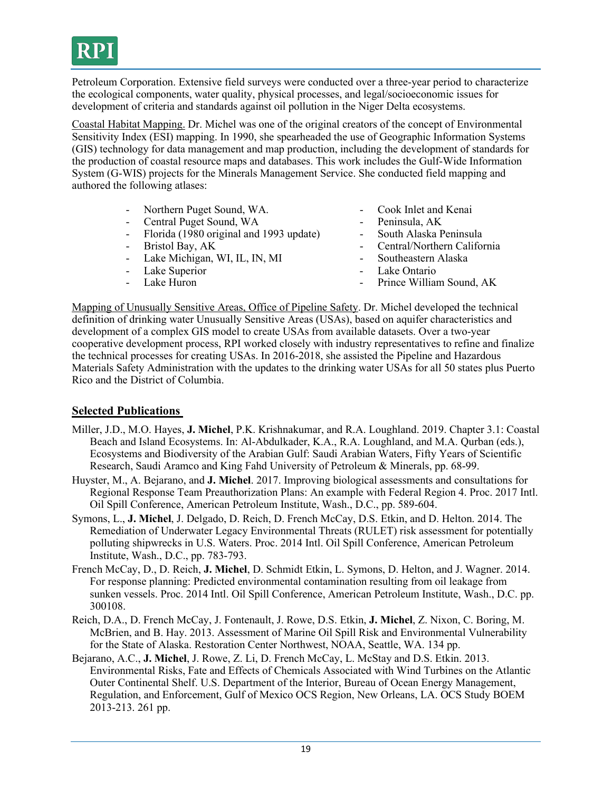

Petroleum Corporation. Extensive field surveys were conducted over a three-year period to characterize the ecological components, water quality, physical processes, and legal/socioeconomic issues for development of criteria and standards against oil pollution in the Niger Delta ecosystems.

Coastal Habitat Mapping. Dr. Michel was one of the original creators of the concept of Environmental Sensitivity Index (ESI) mapping. In 1990, she spearheaded the use of Geographic Information Systems (GIS) technology for data management and map production, including the development of standards for the production of coastal resource maps and databases. This work includes the Gulf-Wide Information System (G-WIS) projects for the Minerals Management Service. She conducted field mapping and authored the following atlases:

- Northern Puget Sound, WA. Cook Inlet and Kenai
- Central Puget Sound, WA Peninsula, AK
- Florida (1980 original and 1993 update) South Alaska Peninsula
- 
- Lake Michigan, WI, IL, IN, MI Southeastern Alaska
- Lake Superior Lake Ontario
- 
- 
- 
- 
- Bristol Bay, AK Central/Northern California
	-
	-
- Lake Huron  **Prince William Sound, AK**

Mapping of Unusually Sensitive Areas, Office of Pipeline Safety. Dr. Michel developed the technical definition of drinking water Unusually Sensitive Areas (USAs), based on aquifer characteristics and development of a complex GIS model to create USAs from available datasets. Over a two-year cooperative development process, RPI worked closely with industry representatives to refine and finalize the technical processes for creating USAs. In 2016-2018, she assisted the Pipeline and Hazardous Materials Safety Administration with the updates to the drinking water USAs for all 50 states plus Puerto Rico and the District of Columbia.

### **Selected Publications**

- Miller, J.D., M.O. Hayes, **J. Michel**, P.K. Krishnakumar, and R.A. Loughland. 2019. Chapter 3.1: Coastal Beach and Island Ecosystems. In: Al-Abdulkader, K.A., R.A. Loughland, and M.A. Qurban (eds.), Ecosystems and Biodiversity of the Arabian Gulf: Saudi Arabian Waters, Fifty Years of Scientific Research, Saudi Aramco and King Fahd University of Petroleum & Minerals, pp. 68-99.
- Huyster, M., A. Bejarano, and **J. Michel**. 2017. Improving biological assessments and consultations for Regional Response Team Preauthorization Plans: An example with Federal Region 4. Proc. 2017 Intl. Oil Spill Conference, American Petroleum Institute, Wash., D.C., pp. 589-604.
- Symons, L., **J. Michel**, J. Delgado, D. Reich, D. French McCay, D.S. Etkin, and D. Helton. 2014. The Remediation of Underwater Legacy Environmental Threats (RULET) risk assessment for potentially polluting shipwrecks in U.S. Waters. Proc. 2014 Intl. Oil Spill Conference, American Petroleum Institute, Wash., D.C., pp. 783-793.
- French McCay, D., D. Reich, **J. Michel**, D. Schmidt Etkin, L. Symons, D. Helton, and J. Wagner. 2014. For response planning: Predicted environmental contamination resulting from oil leakage from sunken vessels. Proc. 2014 Intl. Oil Spill Conference, American Petroleum Institute, Wash., D.C. pp. 300108.
- Reich, D.A., D. French McCay, J. Fontenault, J. Rowe, D.S. Etkin, **J. Michel**, Z. Nixon, C. Boring, M. McBrien, and B. Hay. 2013. Assessment of Marine Oil Spill Risk and Environmental Vulnerability for the State of Alaska. Restoration Center Northwest, NOAA, Seattle, WA. 134 pp.
- Bejarano, A.C., **J. Michel**, J. Rowe, Z. Li, D. French McCay, L. McStay and D.S. Etkin. 2013. Environmental Risks, Fate and Effects of Chemicals Associated with Wind Turbines on the Atlantic Outer Continental Shelf. U.S. Department of the Interior, Bureau of Ocean Energy Management, Regulation, and Enforcement, Gulf of Mexico OCS Region, New Orleans, LA. OCS Study BOEM 2013-213. 261 pp.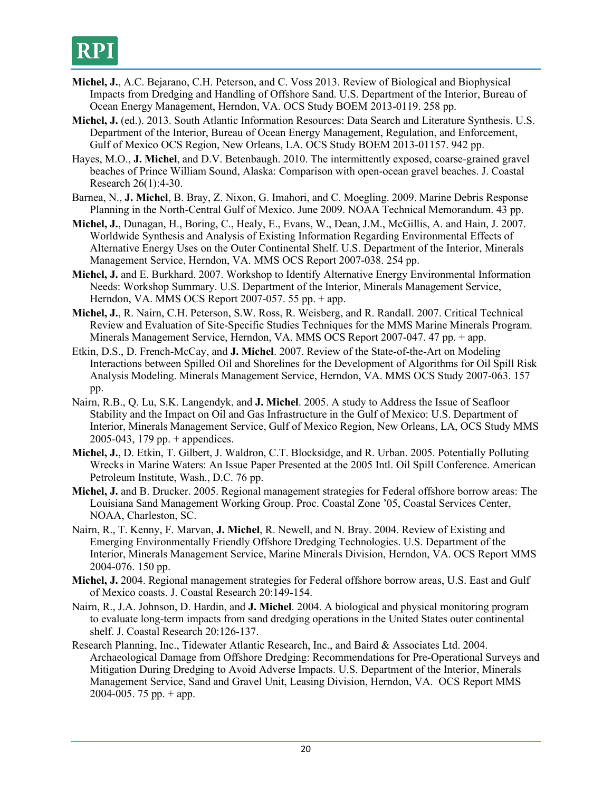- **Michel, J.**, A.C. Bejarano, C.H. Peterson, and C. Voss 2013. Review of Biological and Biophysical Impacts from Dredging and Handling of Offshore Sand. U.S. Department of the Interior, Bureau of Ocean Energy Management, Herndon, VA. OCS Study BOEM 2013-0119. 258 pp.
- **Michel, J.** (ed.). 2013. South Atlantic Information Resources: Data Search and Literature Synthesis. U.S. Department of the Interior, Bureau of Ocean Energy Management, Regulation, and Enforcement, Gulf of Mexico OCS Region, New Orleans, LA. OCS Study BOEM 2013-01157. 942 pp.
- Hayes, M.O., **J. Michel**, and D.V. Betenbaugh. 2010. The intermittently exposed, coarse-grained gravel beaches of Prince William Sound, Alaska: Comparison with open-ocean gravel beaches. J. Coastal Research 26(1):4-30.
- Barnea, N., **J. Michel**, B. Bray, Z. Nixon, G. Imahori, and C. Moegling. 2009. Marine Debris Response Planning in the North-Central Gulf of Mexico. June 2009. NOAA Technical Memorandum. 43 pp.
- **Michel, J.**, Dunagan, H., Boring, C., Healy, E., Evans, W., Dean, J.M., McGillis, A. and Hain, J. 2007. Worldwide Synthesis and Analysis of Existing Information Regarding Environmental Effects of Alternative Energy Uses on the Outer Continental Shelf. U.S. Department of the Interior, Minerals Management Service, Herndon, VA. MMS OCS Report 2007-038. 254 pp.
- **Michel, J.** and E. Burkhard. 2007. Workshop to Identify Alternative Energy Environmental Information Needs: Workshop Summary. U.S. Department of the Interior, Minerals Management Service, Herndon, VA. MMS OCS Report 2007-057. 55 pp. + app.
- **Michel, J.**, R. Nairn, C.H. Peterson, S.W. Ross, R. Weisberg, and R. Randall. 2007. Critical Technical Review and Evaluation of Site-Specific Studies Techniques for the MMS Marine Minerals Program. Minerals Management Service, Herndon, VA. MMS OCS Report 2007-047. 47 pp. + app.
- Etkin, D.S., D. French-McCay, and **J. Michel**. 2007. Review of the State-of-the-Art on Modeling Interactions between Spilled Oil and Shorelines for the Development of Algorithms for Oil Spill Risk Analysis Modeling. Minerals Management Service, Herndon, VA. MMS OCS Study 2007-063. 157 pp.
- Nairn, R.B., Q. Lu, S.K. Langendyk, and **J. Michel**. 2005. A study to Address the Issue of Seafloor Stability and the Impact on Oil and Gas Infrastructure in the Gulf of Mexico: U.S. Department of Interior, Minerals Management Service, Gulf of Mexico Region, New Orleans, LA, OCS Study MMS 2005-043, 179 pp. + appendices.
- **Michel, J.**, D. Etkin, T. Gilbert, J. Waldron, C.T. Blocksidge, and R. Urban. 2005. Potentially Polluting Wrecks in Marine Waters: An Issue Paper Presented at the 2005 Intl. Oil Spill Conference. American Petroleum Institute, Wash., D.C. 76 pp.
- **Michel, J.** and B. Drucker. 2005. Regional management strategies for Federal offshore borrow areas: The Louisiana Sand Management Working Group. Proc. Coastal Zone '05, Coastal Services Center, NOAA, Charleston, SC.
- Nairn, R., T. Kenny, F. Marvan, **J. Michel**, R. Newell, and N. Bray. 2004. Review of Existing and Emerging Environmentally Friendly Offshore Dredging Technologies. U.S. Department of the Interior, Minerals Management Service, Marine Minerals Division, Herndon, VA. OCS Report MMS 2004-076. 150 pp.
- **Michel, J.** 2004. Regional management strategies for Federal offshore borrow areas, U.S. East and Gulf of Mexico coasts. J. Coastal Research 20:149-154.
- Nairn, R., J.A. Johnson, D. Hardin, and **J. Michel**. 2004. A biological and physical monitoring program to evaluate long-term impacts from sand dredging operations in the United States outer continental shelf. J. Coastal Research 20:126-137.
- Research Planning, Inc., Tidewater Atlantic Research, Inc., and Baird & Associates Ltd. 2004. Archaeological Damage from Offshore Dredging: Recommendations for Pre-Operational Surveys and Mitigation During Dredging to Avoid Adverse Impacts. U.S. Department of the Interior, Minerals Management Service, Sand and Gravel Unit, Leasing Division, Herndon, VA. OCS Report MMS 2004-005. 75 pp.  $+$  app.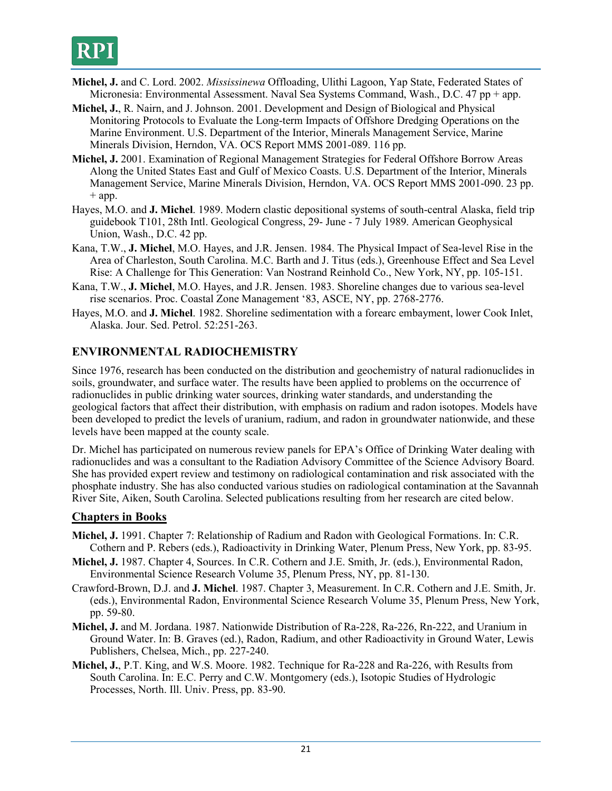- **Michel, J.** and C. Lord. 2002. *Mississinewa* Offloading, Ulithi Lagoon, Yap State, Federated States of Micronesia: Environmental Assessment. Naval Sea Systems Command, Wash., D.C. 47 pp + app.
- **Michel, J.**, R. Nairn, and J. Johnson. 2001. Development and Design of Biological and Physical Monitoring Protocols to Evaluate the Long-term Impacts of Offshore Dredging Operations on the Marine Environment. U.S. Department of the Interior, Minerals Management Service, Marine Minerals Division, Herndon, VA. OCS Report MMS 2001-089. 116 pp.
- **Michel, J.** 2001. Examination of Regional Management Strategies for Federal Offshore Borrow Areas Along the United States East and Gulf of Mexico Coasts. U.S. Department of the Interior, Minerals Management Service, Marine Minerals Division, Herndon, VA. OCS Report MMS 2001-090. 23 pp.  $+$  app.
- Hayes, M.O. and **J. Michel**. 1989. Modern clastic depositional systems of south-central Alaska, field trip guidebook T101, 28th Intl. Geological Congress, 29- June - 7 July 1989. American Geophysical Union, Wash., D.C. 42 pp.
- Kana, T.W., **J. Michel**, M.O. Hayes, and J.R. Jensen. 1984. The Physical Impact of Sea-level Rise in the Area of Charleston, South Carolina. M.C. Barth and J. Titus (eds.), Greenhouse Effect and Sea Level Rise: A Challenge for This Generation: Van Nostrand Reinhold Co., New York, NY, pp. 105-151.
- Kana, T.W., **J. Michel**, M.O. Hayes, and J.R. Jensen. 1983. Shoreline changes due to various sea-level rise scenarios. Proc. Coastal Zone Management '83, ASCE, NY, pp. 2768-2776.
- Hayes, M.O. and **J. Michel**. 1982. Shoreline sedimentation with a forearc embayment, lower Cook Inlet, Alaska. Jour. Sed. Petrol. 52:251-263.

# **ENVIRONMENTAL RADIOCHEMISTRY**

Since 1976, research has been conducted on the distribution and geochemistry of natural radionuclides in soils, groundwater, and surface water. The results have been applied to problems on the occurrence of radionuclides in public drinking water sources, drinking water standards, and understanding the geological factors that affect their distribution, with emphasis on radium and radon isotopes. Models have been developed to predict the levels of uranium, radium, and radon in groundwater nationwide, and these levels have been mapped at the county scale.

Dr. Michel has participated on numerous review panels for EPA's Office of Drinking Water dealing with radionuclides and was a consultant to the Radiation Advisory Committee of the Science Advisory Board. She has provided expert review and testimony on radiological contamination and risk associated with the phosphate industry. She has also conducted various studies on radiological contamination at the Savannah River Site, Aiken, South Carolina. Selected publications resulting from her research are cited below.

### **Chapters in Books**

- **Michel, J.** 1991. Chapter 7: Relationship of Radium and Radon with Geological Formations. In: C.R. Cothern and P. Rebers (eds.), Radioactivity in Drinking Water, Plenum Press, New York, pp. 83-95.
- **Michel, J.** 1987. Chapter 4, Sources. In C.R. Cothern and J.E. Smith, Jr. (eds.), Environmental Radon, Environmental Science Research Volume 35, Plenum Press, NY, pp. 81-130.
- Crawford-Brown, D.J. and **J. Michel**. 1987. Chapter 3, Measurement. In C.R. Cothern and J.E. Smith, Jr. (eds.), Environmental Radon, Environmental Science Research Volume 35, Plenum Press, New York, pp. 59-80.
- **Michel, J.** and M. Jordana. 1987. Nationwide Distribution of Ra-228, Ra-226, Rn-222, and Uranium in Ground Water. In: B. Graves (ed.), Radon, Radium, and other Radioactivity in Ground Water, Lewis Publishers, Chelsea, Mich., pp. 227-240.
- **Michel, J.**, P.T. King, and W.S. Moore. 1982. Technique for Ra-228 and Ra-226, with Results from South Carolina. In: E.C. Perry and C.W. Montgomery (eds.), Isotopic Studies of Hydrologic Processes, North. Ill. Univ. Press, pp. 83-90.